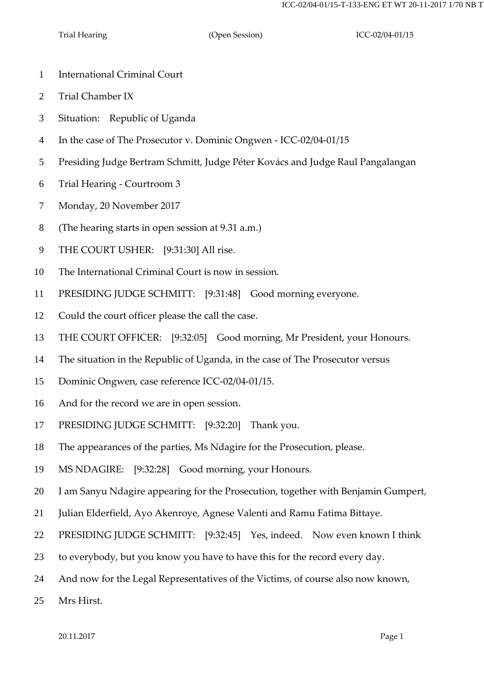Trial Hearing (Open Session) ICC-02/04-01/15

- International Criminal Court
- Trial Chamber IX
- Situation: Republic of Uganda
- In the case of The Prosecutor v. Dominic Ongwen ICC-02/04-01/15
- Presiding Judge Bertram Schmitt, Judge Péter Kovács and Judge Raul Pangalangan
- Trial Hearing Courtroom 3
- Monday, 20 November 2017
- (The hearing starts in open session at 9.31 a.m.)
- THE COURT USHER: [9:31:30] All rise.
- The International Criminal Court is now in session.
- PRESIDING JUDGE SCHMITT: [9:31:48] Good morning everyone.
- Could the court officer please the call the case.
- THE COURT OFFICER: [9:32:05] Good morning, Mr President, your Honours.
- The situation in the Republic of Uganda, in the case of The Prosecutor versus
- Dominic Ongwen, case reference ICC-02/04-01/15.
- And for the record we are in open session.
- PRESIDING JUDGE SCHMITT: [9:32:20] Thank you.
- The appearances of the parties, Ms Ndagire for the Prosecution, please.
- MS NDAGIRE: [9:32:28] Good morning, your Honours.
- I am Sanyu Ndagire appearing for the Prosecution, together with Benjamin Gumpert,
- Julian Elderfield, Ayo Akenroye, Agnese Valenti and Ramu Fatima Bittaye.
- PRESIDING JUDGE SCHMITT: [9:32:45] Yes, indeed. Now even known I think
- to everybody, but you know you have to have this for the record every day.
- And now for the Legal Representatives of the Victims, of course also now known,
- Mrs Hirst.

20.11.2017 Page 1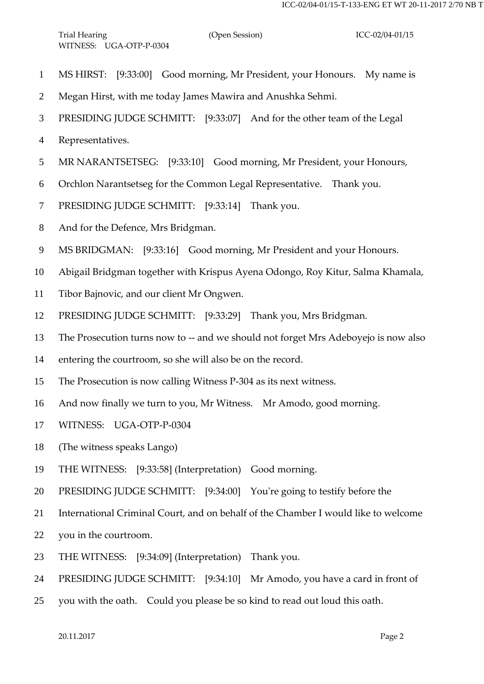- MS HIRST: [9:33:00] Good morning, Mr President, your Honours. My name is
- Megan Hirst, with me today James Mawira and Anushka Sehmi.
- PRESIDING JUDGE SCHMITT: [9:33:07] And for the other team of the Legal
- Representatives.
- MR NARANTSETSEG: [9:33:10] Good morning, Mr President, your Honours,
- Orchlon Narantsetseg for the Common Legal Representative. Thank you.
- PRESIDING JUDGE SCHMITT: [9:33:14] Thank you.
- And for the Defence, Mrs Bridgman.
- MS BRIDGMAN: [9:33:16] Good morning, Mr President and your Honours.
- Abigail Bridgman together with Krispus Ayena Odongo, Roy Kitur, Salma Khamala,
- Tibor Bajnovic, and our client Mr Ongwen.
- PRESIDING JUDGE SCHMITT: [9:33:29] Thank you, Mrs Bridgman.
- The Prosecution turns now to -- and we should not forget Mrs Adeboyejo is now also
- entering the courtroom, so she will also be on the record.
- The Prosecution is now calling Witness P-304 as its next witness.
- And now finally we turn to you, Mr Witness. Mr Amodo, good morning.
- WITNESS: UGA-OTP-P-0304
- (The witness speaks Lango)
- THE WITNESS: [9:33:58] (Interpretation) Good morning.
- PRESIDING JUDGE SCHMITT: [9:34:00] You're going to testify before the
- International Criminal Court, and on behalf of the Chamber I would like to welcome
- you in the courtroom.
- THE WITNESS: [9:34:09] (Interpretation) Thank you.
- PRESIDING JUDGE SCHMITT: [9:34:10] Mr Amodo, you have a card in front of
- you with the oath. Could you please be so kind to read out loud this oath.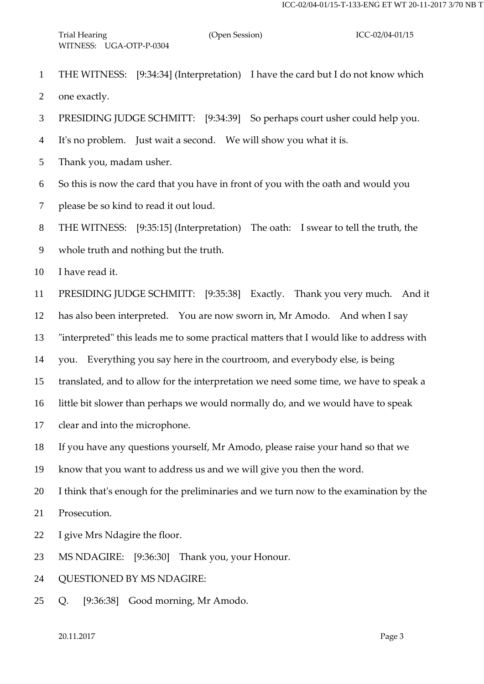- THE WITNESS: [9:34:34] (Interpretation) I have the card but I do not know which one exactly.
- PRESIDING JUDGE SCHMITT: [9:34:39] So perhaps court usher could help you.
- It's no problem. Just wait a second. We will show you what it is.
- Thank you, madam usher.
- So this is now the card that you have in front of you with the oath and would you
- please be so kind to read it out loud.

THE WITNESS: [9:35:15] (Interpretation) The oath: I swear to tell the truth, the

whole truth and nothing but the truth.

10 I have read it.

PRESIDING JUDGE SCHMITT: [9:35:38] Exactly. Thank you very much. And it

has also been interpreted. You are now sworn in, Mr Amodo. And when I say

"interpreted" this leads me to some practical matters that I would like to address with

- you. Everything you say here in the courtroom, and everybody else, is being
- translated, and to allow for the interpretation we need some time, we have to speak a

little bit slower than perhaps we would normally do, and we would have to speak

clear and into the microphone.

If you have any questions yourself, Mr Amodo, please raise your hand so that we

know that you want to address us and we will give you then the word.

I think that's enough for the preliminaries and we turn now to the examination by the

Prosecution.

- I give Mrs Ndagire the floor.
- MS NDAGIRE: [9:36:30] Thank you, your Honour.

QUESTIONED BY MS NDAGIRE:

Q. [9:36:38] Good morning, Mr Amodo.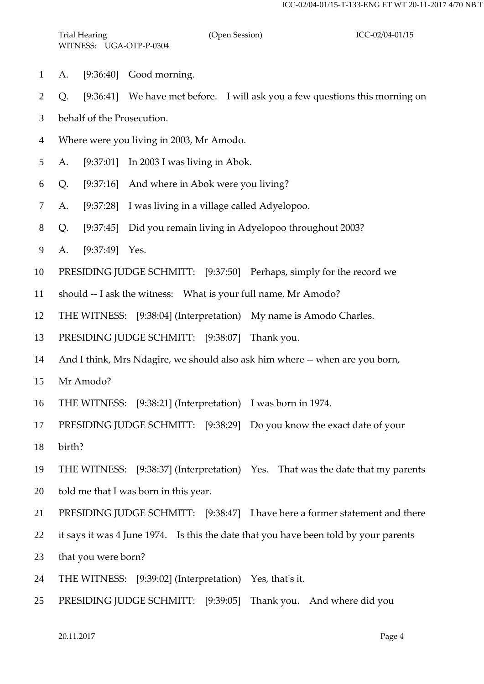- A. [9:36:40] Good morning.
- Q. [9:36:41] We have met before. I will ask you a few questions this morning on
- behalf of the Prosecution.
- Where were you living in 2003, Mr Amodo.
- A. [9:37:01] In 2003 I was living in Abok.
- Q. [9:37:16] And where in Abok were you living?
- A. [9:37:28] I was living in a village called Adyelopoo.
- Q. [9:37:45] Did you remain living in Adyelopoo throughout 2003?
- A. [9:37:49] Yes.
- PRESIDING JUDGE SCHMITT: [9:37:50] Perhaps, simply for the record we
- should -- I ask the witness: What is your full name, Mr Amodo?
- THE WITNESS: [9:38:04] (Interpretation) My name is Amodo Charles.
- PRESIDING JUDGE SCHMITT: [9:38:07] Thank you.
- And I think, Mrs Ndagire, we should also ask him where -- when are you born,
- Mr Amodo?
- THE WITNESS: [9:38:21] (Interpretation) I was born in 1974.
- PRESIDING JUDGE SCHMITT: [9:38:29] Do you know the exact date of your
- birth?
- THE WITNESS: [9:38:37] (Interpretation) Yes. That was the date that my parents
- told me that I was born in this year.
- PRESIDING JUDGE SCHMITT: [9:38:47] I have here a former statement and there
- it says it was 4 June 1974. Is this the date that you have been told by your parents
- that you were born?
- THE WITNESS: [9:39:02] (Interpretation) Yes, that's it.
- PRESIDING JUDGE SCHMITT: [9:39:05] Thank you. And where did you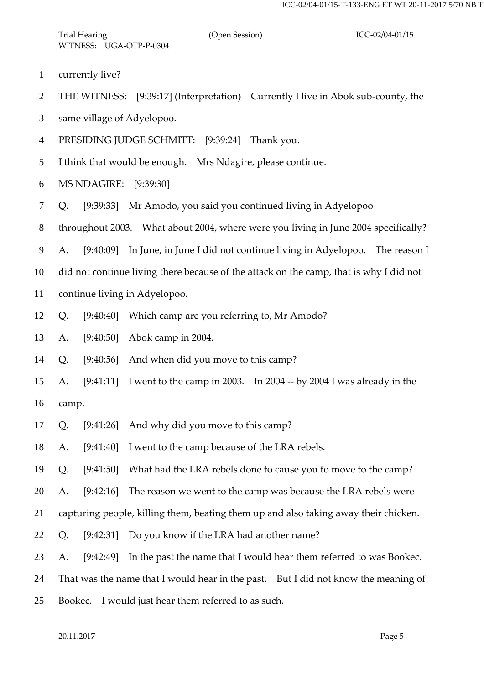currently live?

THE WITNESS: [9:39:17] (Interpretation) Currently I live in Abok sub-county, the

same village of Adyelopoo.

PRESIDING JUDGE SCHMITT: [9:39:24] Thank you.

I think that would be enough. Mrs Ndagire, please continue.

MS NDAGIRE: [9:39:30]

Q. [9:39:33] Mr Amodo, you said you continued living in Adyelopoo

throughout 2003. What about 2004, where were you living in June 2004 specifically?

A. [9:40:09] In June, in June I did not continue living in Adyelopoo. The reason I

did not continue living there because of the attack on the camp, that is why I did not

continue living in Adyelopoo.

Q. [9:40:40] Which camp are you referring to, Mr Amodo?

A. [9:40:50] Abok camp in 2004.

Q. [9:40:56] And when did you move to this camp?

 A. [9:41:11] I went to the camp in 2003. In 2004 -- by 2004 I was already in the camp.

Q. [9:41:26] And why did you move to this camp?

A. [9:41:40] I went to the camp because of the LRA rebels.

Q. [9:41:50] What had the LRA rebels done to cause you to move to the camp?

A. [9:42:16] The reason we went to the camp was because the LRA rebels were

capturing people, killing them, beating them up and also taking away their chicken.

Q. [9:42:31] Do you know if the LRA had another name?

A. [9:42:49] In the past the name that I would hear them referred to was Bookec.

That was the name that I would hear in the past. But I did not know the meaning of

Bookec. I would just hear them referred to as such.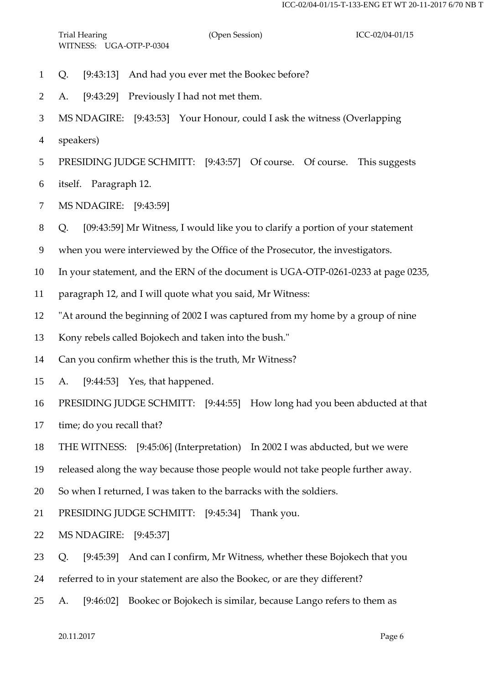- Q. [9:43:13] And had you ever met the Bookec before?
- A. [9:43:29] Previously I had not met them.
- MS NDAGIRE: [9:43:53] Your Honour, could I ask the witness (Overlapping
- speakers)
- PRESIDING JUDGE SCHMITT: [9:43:57] Of course. Of course. This suggests
- itself. Paragraph 12.
- MS NDAGIRE: [9:43:59]
- Q. [09:43:59] Mr Witness, I would like you to clarify a portion of your statement
- when you were interviewed by the Office of the Prosecutor, the investigators.
- In your statement, and the ERN of the document is UGA-OTP-0261-0233 at page 0235,
- paragraph 12, and I will quote what you said, Mr Witness:
- "At around the beginning of 2002 I was captured from my home by a group of nine
- Kony rebels called Bojokech and taken into the bush."
- Can you confirm whether this is the truth, Mr Witness?
- A. [9:44:53] Yes, that happened.
- PRESIDING JUDGE SCHMITT: [9:44:55] How long had you been abducted at that
- 17 time; do you recall that?
- THE WITNESS: [9:45:06] (Interpretation) In 2002 I was abducted, but we were
- released along the way because those people would not take people further away.
- So when I returned, I was taken to the barracks with the soldiers.
- PRESIDING JUDGE SCHMITT: [9:45:34] Thank you.
- MS NDAGIRE: [9:45:37]
- Q. [9:45:39] And can I confirm, Mr Witness, whether these Bojokech that you
- referred to in your statement are also the Bookec, or are they different?
- A. [9:46:02] Bookec or Bojokech is similar, because Lango refers to them as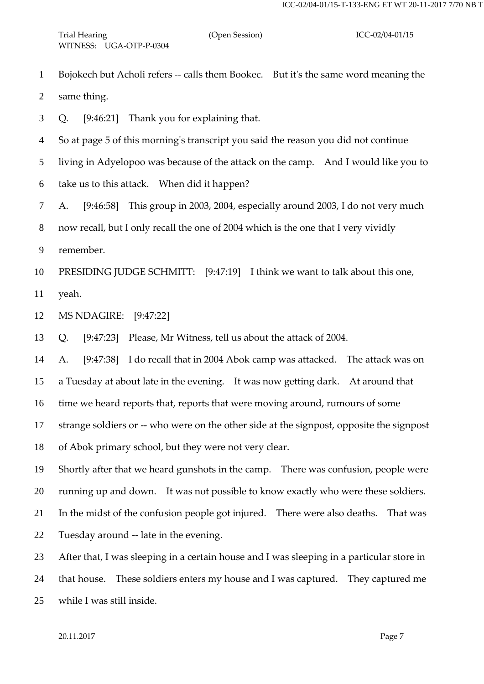Bojokech but Acholi refers -- calls them Bookec. But it's the same word meaning the

same thing.

Q. [9:46:21] Thank you for explaining that.

So at page 5 of this morning's transcript you said the reason you did not continue

living in Adyelopoo was because of the attack on the camp. And I would like you to

- take us to this attack. When did it happen?
- A. [9:46:58] This group in 2003, 2004, especially around 2003, I do not very much

now recall, but I only recall the one of 2004 which is the one that I very vividly

remember.

PRESIDING JUDGE SCHMITT: [9:47:19] I think we want to talk about this one,

yeah.

MS NDAGIRE: [9:47:22]

Q. [9:47:23] Please, Mr Witness, tell us about the attack of 2004.

A. [9:47:38] I do recall that in 2004 Abok camp was attacked. The attack was on

a Tuesday at about late in the evening. It was now getting dark. At around that

time we heard reports that, reports that were moving around, rumours of some

strange soldiers or -- who were on the other side at the signpost, opposite the signpost

of Abok primary school, but they were not very clear.

Shortly after that we heard gunshots in the camp. There was confusion, people were

running up and down. It was not possible to know exactly who were these soldiers.

In the midst of the confusion people got injured. There were also deaths. That was

Tuesday around -- late in the evening.

After that, I was sleeping in a certain house and I was sleeping in a particular store in

 that house. These soldiers enters my house and I was captured. They captured me while I was still inside.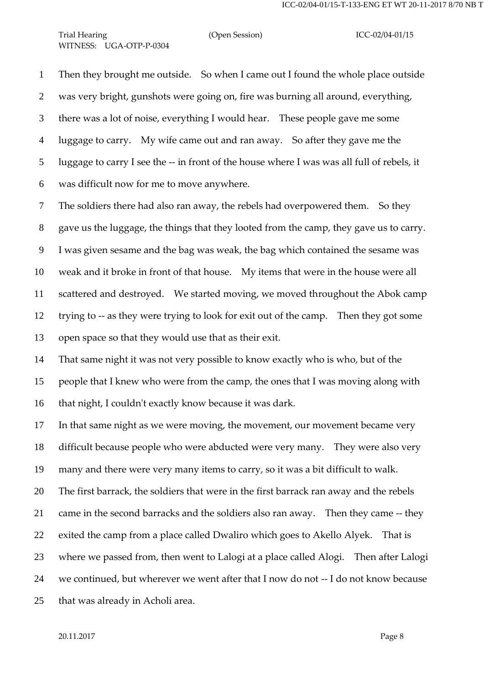# Trial Hearing (Open Session) ICC-02/04-01/15 WITNESS: UGA-OTP-P-0304

 Then they brought me outside. So when I came out I found the whole place outside was very bright, gunshots were going on, fire was burning all around, everything, there was a lot of noise, everything I would hear. These people gave me some luggage to carry. My wife came out and ran away. So after they gave me the luggage to carry I see the -- in front of the house where I was was all full of rebels, it was difficult now for me to move anywhere.

 The soldiers there had also ran away, the rebels had overpowered them. So they gave us the luggage, the things that they looted from the camp, they gave us to carry. I was given sesame and the bag was weak, the bag which contained the sesame was weak and it broke in front of that house. My items that were in the house were all scattered and destroyed. We started moving, we moved throughout the Abok camp trying to -- as they were trying to look for exit out of the camp. Then they got some open space so that they would use that as their exit.

 That same night it was not very possible to know exactly who is who, but of the people that I knew who were from the camp, the ones that I was moving along with that night, I couldn't exactly know because it was dark.

 In that same night as we were moving, the movement, our movement became very difficult because people who were abducted were very many. They were also very many and there were very many items to carry, so it was a bit difficult to walk. The first barrack, the soldiers that were in the first barrack ran away and the rebels came in the second barracks and the soldiers also ran away. Then they came -- they exited the camp from a place called Dwaliro which goes to Akello Alyek. That is where we passed from, then went to Lalogi at a place called Alogi. Then after Lalogi we continued, but wherever we went after that I now do not -- I do not know because that was already in Acholi area.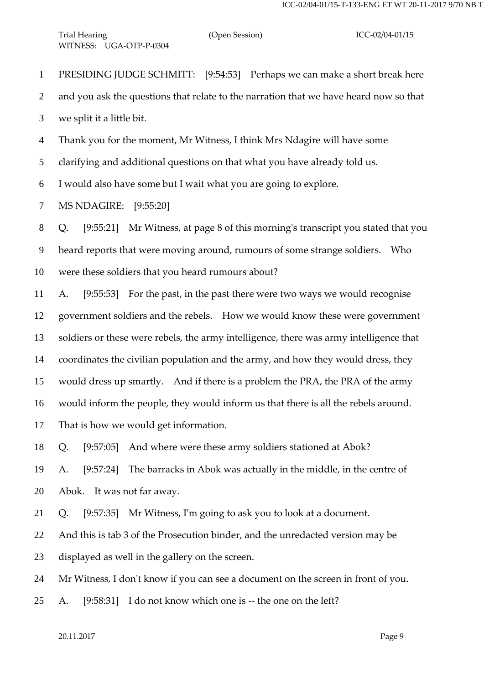PRESIDING JUDGE SCHMITT: [9:54:53] Perhaps we can make a short break here

and you ask the questions that relate to the narration that we have heard now so that

we split it a little bit.

Thank you for the moment, Mr Witness, I think Mrs Ndagire will have some

clarifying and additional questions on that what you have already told us.

I would also have some but I wait what you are going to explore.

MS NDAGIRE: [9:55:20]

Q. [9:55:21] Mr Witness, at page 8 of this morning's transcript you stated that you

heard reports that were moving around, rumours of some strange soldiers. Who

were these soldiers that you heard rumours about?

 A. [9:55:53] For the past, in the past there were two ways we would recognise government soldiers and the rebels. How we would know these were government soldiers or these were rebels, the army intelligence, there was army intelligence that coordinates the civilian population and the army, and how they would dress, they would dress up smartly. And if there is a problem the PRA, the PRA of the army would inform the people, they would inform us that there is all the rebels around. That is how we would get information.

Q. [9:57:05] And where were these army soldiers stationed at Abok?

 A. [9:57:24] The barracks in Abok was actually in the middle, in the centre of Abok. It was not far away.

Q. [9:57:35] Mr Witness, I'm going to ask you to look at a document.

And this is tab 3 of the Prosecution binder, and the unredacted version may be

displayed as well in the gallery on the screen.

Mr Witness, I don't know if you can see a document on the screen in front of you.

A. [9:58:31] I do not know which one is -- the one on the left?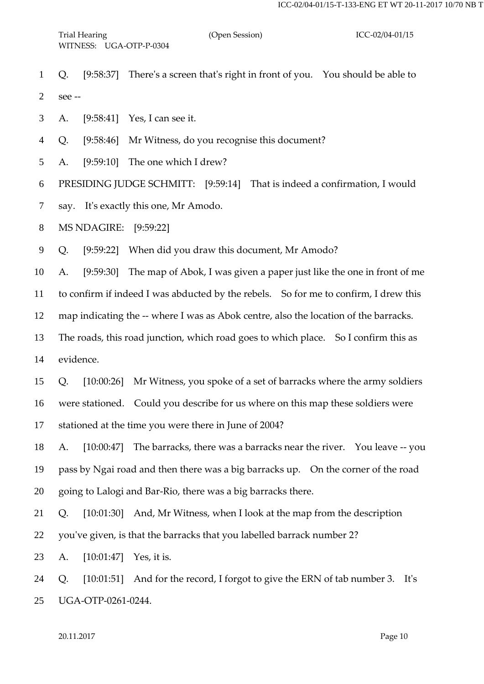Q. [9:58:37] There's a screen that's right in front of you. You should be able to see --

A. [9:58:41] Yes, I can see it.

Q. [9:58:46] Mr Witness, do you recognise this document?

A. [9:59:10] The one which I drew?

PRESIDING JUDGE SCHMITT: [9:59:14] That is indeed a confirmation, I would

say. It's exactly this one, Mr Amodo.

MS NDAGIRE: [9:59:22]

Q. [9:59:22] When did you draw this document, Mr Amodo?

A. [9:59:30] The map of Abok, I was given a paper just like the one in front of me

to confirm if indeed I was abducted by the rebels. So for me to confirm, I drew this

map indicating the -- where I was as Abok centre, also the location of the barracks.

 The roads, this road junction, which road goes to which place. So I confirm this as evidence.

Q. [10:00:26] Mr Witness, you spoke of a set of barracks where the army soldiers

were stationed. Could you describe for us where on this map these soldiers were

stationed at the time you were there in June of 2004?

 A. [10:00:47] The barracks, there was a barracks near the river. You leave -- you pass by Ngai road and then there was a big barracks up. On the corner of the road going to Lalogi and Bar-Rio, there was a big barracks there.

Q. [10:01:30] And, Mr Witness, when I look at the map from the description

you've given, is that the barracks that you labelled barrack number 2?

A. [10:01:47] Yes, it is.

Q. [10:01:51] And for the record, I forgot to give the ERN of tab number 3. It's

UGA-OTP-0261-0244.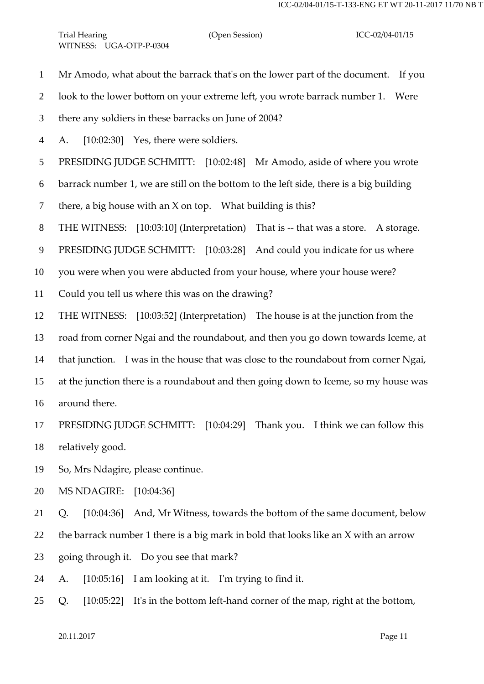- Mr Amodo, what about the barrack that's on the lower part of the document. If you
- look to the lower bottom on your extreme left, you wrote barrack number 1. Were
- there any soldiers in these barracks on June of 2004?
- A. [10:02:30] Yes, there were soldiers.
- PRESIDING JUDGE SCHMITT: [10:02:48] Mr Amodo, aside of where you wrote
- barrack number 1, we are still on the bottom to the left side, there is a big building
- 7 there, a big house with an  $X$  on top. What building is this?
- THE WITNESS: [10:03:10] (Interpretation) That is -- that was a store. A storage.
- 9 PRESIDING JUDGE SCHMITT: [10:03:28] And could you indicate for us where
- you were when you were abducted from your house, where your house were?
- Could you tell us where this was on the drawing?
- THE WITNESS: [10:03:52] (Interpretation) The house is at the junction from the
- road from corner Ngai and the roundabout, and then you go down towards Iceme, at
- that junction. I was in the house that was close to the roundabout from corner Ngai,
- at the junction there is a roundabout and then going down to Iceme, so my house was
- around there.
- PRESIDING JUDGE SCHMITT: [10:04:29] Thank you. I think we can follow this relatively good.
- So, Mrs Ndagire, please continue.
- MS NDAGIRE: [10:04:36]
- Q. [10:04:36] And, Mr Witness, towards the bottom of the same document, below
- the barrack number 1 there is a big mark in bold that looks like an X with an arrow
- going through it. Do you see that mark?
- A. [10:05:16] I am looking at it. I'm trying to find it.
- Q. [10:05:22] It's in the bottom left-hand corner of the map, right at the bottom,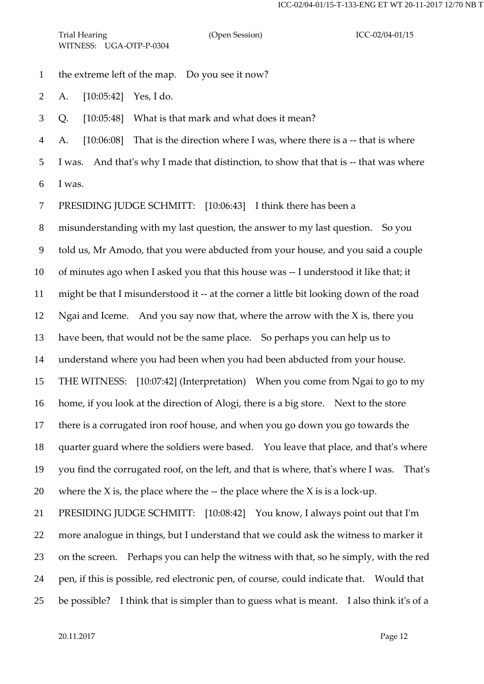the extreme left of the map. Do you see it now?

A. [10:05:42] Yes, I do.

Q. [10:05:48] What is that mark and what does it mean?

A. [10:06:08] That is the direction where I was, where there is a -- that is where

I was. And that's why I made that distinction, to show that that is -- that was where

I was.

PRESIDING JUDGE SCHMITT: [10:06:43] I think there has been a

misunderstanding with my last question, the answer to my last question. So you

told us, Mr Amodo, that you were abducted from your house, and you said a couple

of minutes ago when I asked you that this house was -- I understood it like that; it

might be that I misunderstood it -- at the corner a little bit looking down of the road

Ngai and Iceme. And you say now that, where the arrow with the X is, there you

have been, that would not be the same place. So perhaps you can help us to

understand where you had been when you had been abducted from your house.

THE WITNESS: [10:07:42] (Interpretation) When you come from Ngai to go to my

home, if you look at the direction of Alogi, there is a big store. Next to the store

there is a corrugated iron roof house, and when you go down you go towards the

quarter guard where the soldiers were based. You leave that place, and that's where

 you find the corrugated roof, on the left, and that is where, that's where I was. That's 20 where the X is, the place where the  $-$  the place where the X is is a lock-up.

 PRESIDING JUDGE SCHMITT: [10:08:42] You know, I always point out that I'm more analogue in things, but I understand that we could ask the witness to marker it on the screen. Perhaps you can help the witness with that, so he simply, with the red pen, if this is possible, red electronic pen, of course, could indicate that. Would that be possible? I think that is simpler than to guess what is meant. I also think it's of a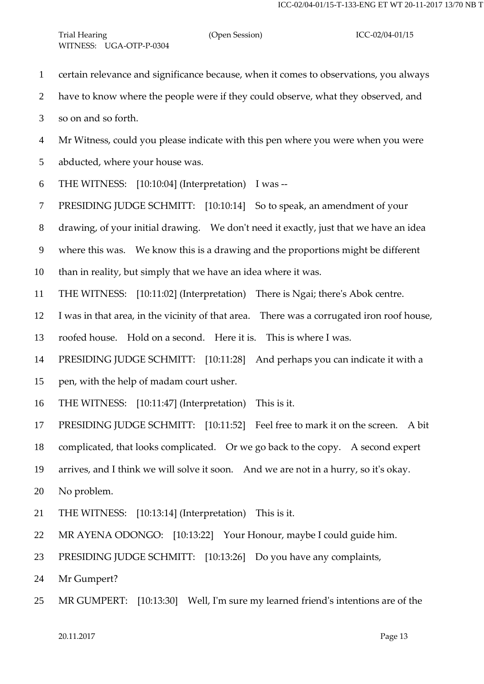- certain relevance and significance because, when it comes to observations, you always
- have to know where the people were if they could observe, what they observed, and

so on and so forth.

Mr Witness, could you please indicate with this pen where you were when you were

abducted, where your house was.

THE WITNESS: [10:10:04] (Interpretation) I was --

PRESIDING JUDGE SCHMITT: [10:10:14] So to speak, an amendment of your

drawing, of your initial drawing. We don't need it exactly, just that we have an idea

where this was. We know this is a drawing and the proportions might be different

than in reality, but simply that we have an idea where it was.

THE WITNESS: [10:11:02] (Interpretation) There is Ngai; there's Abok centre.

I was in that area, in the vicinity of that area. There was a corrugated iron roof house,

roofed house. Hold on a second. Here it is. This is where I was.

PRESIDING JUDGE SCHMITT: [10:11:28] And perhaps you can indicate it with a

pen, with the help of madam court usher.

THE WITNESS: [10:11:47] (Interpretation) This is it.

PRESIDING JUDGE SCHMITT: [10:11:52] Feel free to mark it on the screen. A bit

complicated, that looks complicated. Or we go back to the copy. A second expert

arrives, and I think we will solve it soon. And we are not in a hurry, so it's okay.

No problem.

- THE WITNESS: [10:13:14] (Interpretation) This is it.
- MR AYENA ODONGO: [10:13:22] Your Honour, maybe I could guide him.
- PRESIDING JUDGE SCHMITT: [10:13:26] Do you have any complaints,

Mr Gumpert?

MR GUMPERT: [10:13:30] Well, I'm sure my learned friend's intentions are of the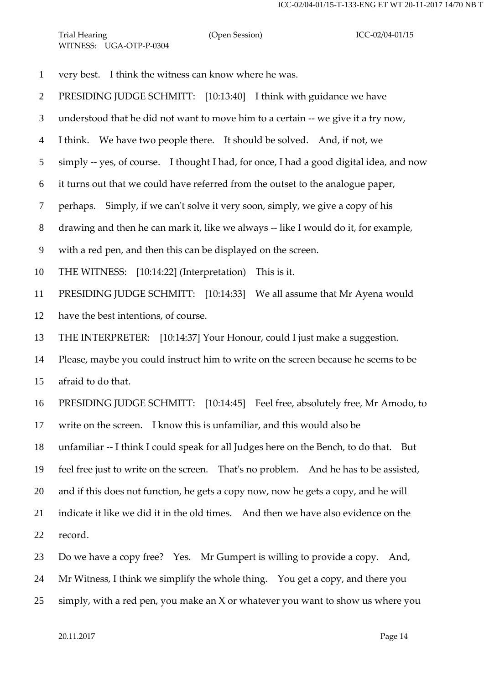very best. I think the witness can know where he was.

PRESIDING JUDGE SCHMITT: [10:13:40] I think with guidance we have

understood that he did not want to move him to a certain -- we give it a try now,

I think. We have two people there. It should be solved. And, if not, we

simply -- yes, of course. I thought I had, for once, I had a good digital idea, and now

it turns out that we could have referred from the outset to the analogue paper,

perhaps. Simply, if we can't solve it very soon, simply, we give a copy of his

drawing and then he can mark it, like we always -- like I would do it, for example,

with a red pen, and then this can be displayed on the screen.

THE WITNESS: [10:14:22] (Interpretation) This is it.

PRESIDING JUDGE SCHMITT: [10:14:33] We all assume that Mr Ayena would

have the best intentions, of course.

THE INTERPRETER: [10:14:37] Your Honour, could I just make a suggestion.

 Please, maybe you could instruct him to write on the screen because he seems to be afraid to do that.

 PRESIDING JUDGE SCHMITT: [10:14:45] Feel free, absolutely free, Mr Amodo, to write on the screen. I know this is unfamiliar, and this would also be

unfamiliar -- I think I could speak for all Judges here on the Bench, to do that. But

feel free just to write on the screen. That's no problem. And he has to be assisted,

and if this does not function, he gets a copy now, now he gets a copy, and he will

indicate it like we did it in the old times. And then we have also evidence on the

record.

Do we have a copy free? Yes. Mr Gumpert is willing to provide a copy. And,

Mr Witness, I think we simplify the whole thing. You get a copy, and there you

simply, with a red pen, you make an X or whatever you want to show us where you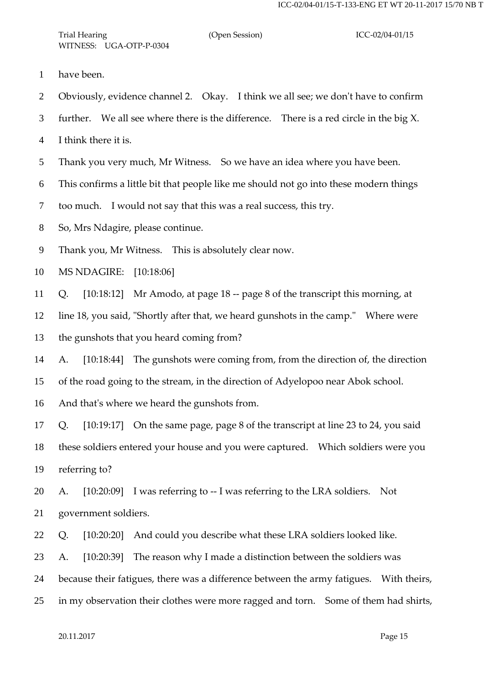- have been.
- Obviously, evidence channel 2. Okay. I think we all see; we don't have to confirm
- further. We all see where there is the difference. There is a red circle in the big X.
- I think there it is.
- Thank you very much, Mr Witness. So we have an idea where you have been.
- This confirms a little bit that people like me should not go into these modern things
- too much. I would not say that this was a real success, this try.
- So, Mrs Ndagire, please continue.
- Thank you, Mr Witness. This is absolutely clear now.
- MS NDAGIRE: [10:18:06]
- Q. [10:18:12] Mr Amodo, at page 18 -- page 8 of the transcript this morning, at
- line 18, you said, "Shortly after that, we heard gunshots in the camp." Where were
- the gunshots that you heard coming from?
- A. [10:18:44] The gunshots were coming from, from the direction of, the direction of the road going to the stream, in the direction of Adyelopoo near Abok school.
- And that's where we heard the gunshots from.
- Q. [10:19:17] On the same page, page 8 of the transcript at line 23 to 24, you said these soldiers entered your house and you were captured. Which soldiers were you referring to?
- A. [10:20:09] I was referring to -- I was referring to the LRA soldiers. Not government soldiers.
- Q. [10:20:20] And could you describe what these LRA soldiers looked like.
- A. [10:20:39] The reason why I made a distinction between the soldiers was
- because their fatigues, there was a difference between the army fatigues. With theirs,
- in my observation their clothes were more ragged and torn. Some of them had shirts,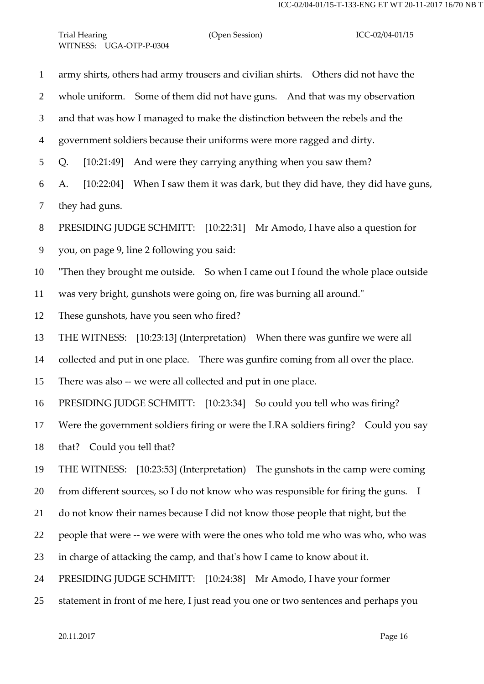army shirts, others had army trousers and civilian shirts. Others did not have the whole uniform. Some of them did not have guns. And that was my observation and that was how I managed to make the distinction between the rebels and the government soldiers because their uniforms were more ragged and dirty. Q. [10:21:49] And were they carrying anything when you saw them? A. [10:22:04] When I saw them it was dark, but they did have, they did have guns, they had guns. PRESIDING JUDGE SCHMITT: [10:22:31] Mr Amodo, I have also a question for you, on page 9, line 2 following you said: "Then they brought me outside. So when I came out I found the whole place outside was very bright, gunshots were going on, fire was burning all around." These gunshots, have you seen who fired? THE WITNESS: [10:23:13] (Interpretation) When there was gunfire we were all collected and put in one place. There was gunfire coming from all over the place. There was also -- we were all collected and put in one place. PRESIDING JUDGE SCHMITT: [10:23:34] So could you tell who was firing? Were the government soldiers firing or were the LRA soldiers firing? Could you say that? Could you tell that? THE WITNESS: [10:23:53] (Interpretation) The gunshots in the camp were coming 20 from different sources, so I do not know who was responsible for firing the guns. I do not know their names because I did not know those people that night, but the people that were -- we were with were the ones who told me who was who, who was in charge of attacking the camp, and that's how I came to know about it. PRESIDING JUDGE SCHMITT: [10:24:38] Mr Amodo, I have your former statement in front of me here, I just read you one or two sentences and perhaps you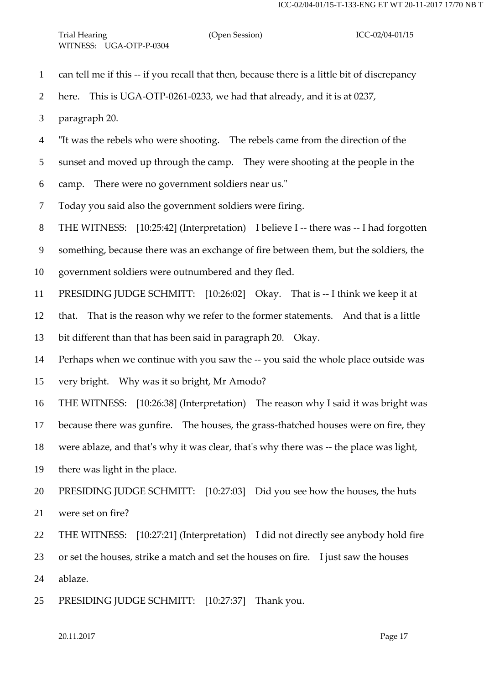| $\mathbf{1}$   | can tell me if this -- if you recall that then, because there is a little bit of discrepancy |
|----------------|----------------------------------------------------------------------------------------------|
| 2              | This is UGA-OTP-0261-0233, we had that already, and it is at 0237,<br>here.                  |
| 3              | paragraph 20.                                                                                |
| $\overline{4}$ | "It was the rebels who were shooting. The rebels came from the direction of the              |
| 5              | sunset and moved up through the camp. They were shooting at the people in the                |
| 6              | There were no government soldiers near us."<br>camp.                                         |
| $\tau$         | Today you said also the government soldiers were firing.                                     |
| 8              | THE WITNESS: [10:25:42] (Interpretation) I believe I -- there was -- I had forgotten         |
| 9              | something, because there was an exchange of fire between them, but the soldiers, the         |
| 10             | government soldiers were outnumbered and they fled.                                          |
| 11             | PRESIDING JUDGE SCHMITT: [10:26:02] Okay. That is -- I think we keep it at                   |
| 12             | That is the reason why we refer to the former statements. And that is a little<br>that.      |
| 13             | bit different than that has been said in paragraph 20. Okay.                                 |
| 14             | Perhaps when we continue with you saw the -- you said the whole place outside was            |
| 15             | very bright.  Why was it so bright, Mr Amodo?                                                |
| 16             | THE WITNESS: [10:26:38] (Interpretation) The reason why I said it was bright was             |
|                | 17 because there was gunfire. The houses, the grass-thatched houses were on fire, they       |
| 18             | were ablaze, and that's why it was clear, that's why there was -- the place was light,       |
| 19             | there was light in the place.                                                                |
| 20             | PRESIDING JUDGE SCHMITT: [10:27:03] Did you see how the houses, the huts                     |
| 21             | were set on fire?                                                                            |
| 22             | THE WITNESS: [10:27:21] (Interpretation) I did not directly see anybody hold fire            |
| 23             | or set the houses, strike a match and set the houses on fire. I just saw the houses          |
| 24             | ablaze.                                                                                      |
| 25             | PRESIDING JUDGE SCHMITT: [10:27:37]<br>Thank you.                                            |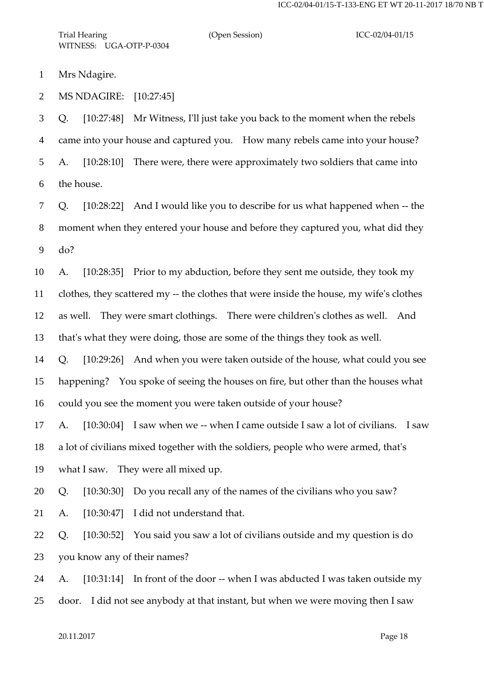Trial Hearing (Open Session) ICC-02/04-01/15 WITNESS: UGA-OTP-P-0304

Mrs Ndagire.

MS NDAGIRE: [10:27:45]

 Q. [10:27:48] Mr Witness, I'll just take you back to the moment when the rebels came into your house and captured you. How many rebels came into your house? A. [10:28:10] There were, there were approximately two soldiers that came into the house.

 Q. [10:28:22] And I would like you to describe for us what happened when -- the moment when they entered your house and before they captured you, what did they do?

 A. [10:28:35] Prior to my abduction, before they sent me outside, they took my clothes, they scattered my -- the clothes that were inside the house, my wife's clothes as well. They were smart clothings. There were children's clothes as well. And

that's what they were doing, those are some of the things they took as well.

 Q. [10:29:26] And when you were taken outside of the house, what could you see happening? You spoke of seeing the houses on fire, but other than the houses what

could you see the moment you were taken outside of your house?

 A. [10:30:04] I saw when we -- when I came outside I saw a lot of civilians. I saw a lot of civilians mixed together with the soldiers, people who were armed, that's

what I saw. They were all mixed up.

Q. [10:30:30] Do you recall any of the names of the civilians who you saw?

A. [10:30:47] I did not understand that.

 Q. [10:30:52] You said you saw a lot of civilians outside and my question is do you know any of their names?

A. [10:31:14] In front of the door -- when I was abducted I was taken outside my

door. I did not see anybody at that instant, but when we were moving then I saw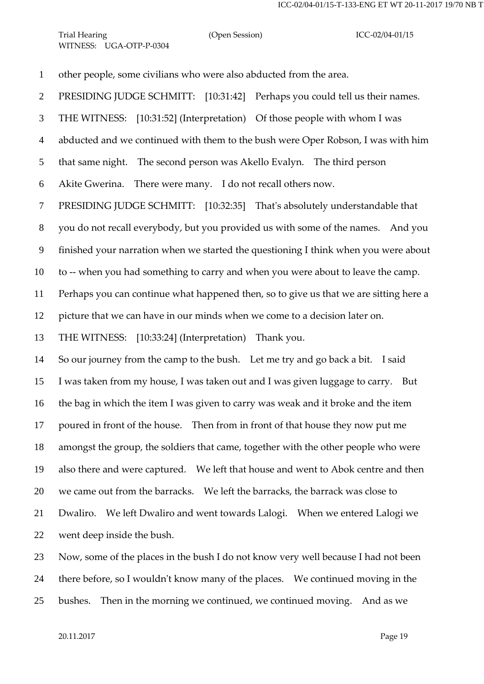other people, some civilians who were also abducted from the area.

PRESIDING JUDGE SCHMITT: [10:31:42] Perhaps you could tell us their names.

THE WITNESS: [10:31:52] (Interpretation) Of those people with whom I was

abducted and we continued with them to the bush were Oper Robson, I was with him

that same night. The second person was Akello Evalyn. The third person

Akite Gwerina. There were many. I do not recall others now.

PRESIDING JUDGE SCHMITT: [10:32:35] That's absolutely understandable that

you do not recall everybody, but you provided us with some of the names. And you

finished your narration when we started the questioning I think when you were about

to -- when you had something to carry and when you were about to leave the camp.

Perhaps you can continue what happened then, so to give us that we are sitting here a

picture that we can have in our minds when we come to a decision later on.

THE WITNESS: [10:33:24] (Interpretation) Thank you.

 So our journey from the camp to the bush. Let me try and go back a bit. I said I was taken from my house, I was taken out and I was given luggage to carry. But the bag in which the item I was given to carry was weak and it broke and the item poured in front of the house. Then from in front of that house they now put me amongst the group, the soldiers that came, together with the other people who were also there and were captured. We left that house and went to Abok centre and then we came out from the barracks. We left the barracks, the barrack was close to Dwaliro. We left Dwaliro and went towards Lalogi. When we entered Lalogi we went deep inside the bush.

 Now, some of the places in the bush I do not know very well because I had not been there before, so I wouldn't know many of the places. We continued moving in the bushes. Then in the morning we continued, we continued moving. And as we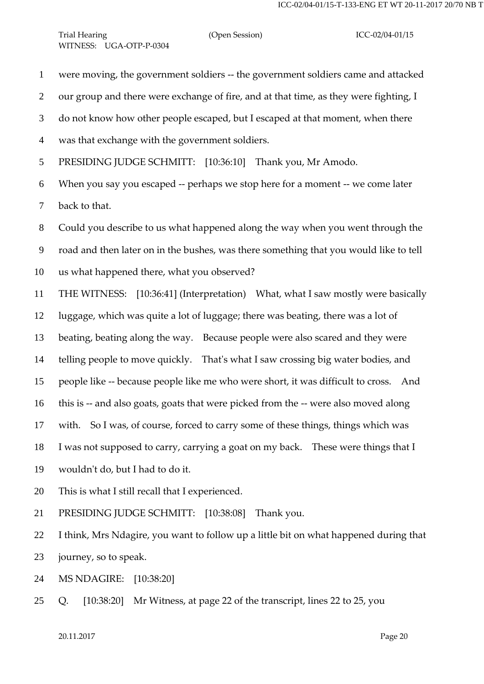were moving, the government soldiers -- the government soldiers came and attacked our group and there were exchange of fire, and at that time, as they were fighting, I do not know how other people escaped, but I escaped at that moment, when there

- was that exchange with the government soldiers.
- PRESIDING JUDGE SCHMITT: [10:36:10] Thank you, Mr Amodo.

 When you say you escaped -- perhaps we stop here for a moment -- we come later back to that.

Could you describe to us what happened along the way when you went through the

road and then later on in the bushes, was there something that you would like to tell

- us what happened there, what you observed?
- THE WITNESS: [10:36:41] (Interpretation) What, what I saw mostly were basically

luggage, which was quite a lot of luggage; there was beating, there was a lot of

beating, beating along the way. Because people were also scared and they were

telling people to move quickly. That's what I saw crossing big water bodies, and

people like -- because people like me who were short, it was difficult to cross. And

this is -- and also goats, goats that were picked from the -- were also moved along

with. So I was, of course, forced to carry some of these things, things which was

I was not supposed to carry, carrying a goat on my back. These were things that I

- wouldn't do, but I had to do it.
- This is what I still recall that I experienced.
- PRESIDING JUDGE SCHMITT: [10:38:08] Thank you.

 I think, Mrs Ndagire, you want to follow up a little bit on what happened during that journey, so to speak.

MS NDAGIRE: [10:38:20]

Q. [10:38:20] Mr Witness, at page 22 of the transcript, lines 22 to 25, you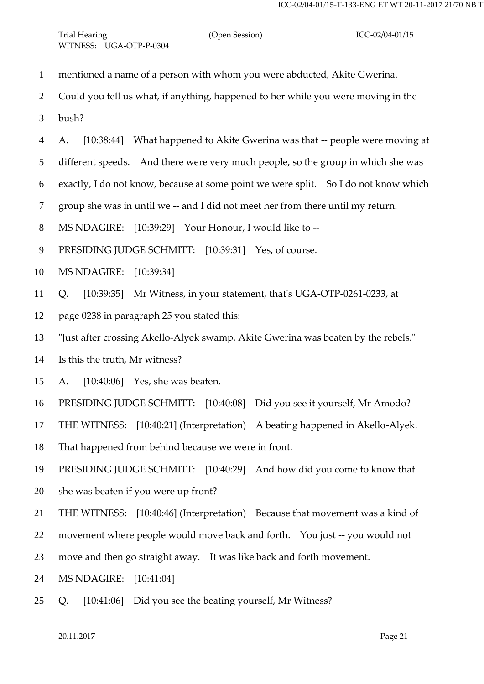- mentioned a name of a person with whom you were abducted, Akite Gwerina.
- Could you tell us what, if anything, happened to her while you were moving in the
- bush?
- A. [10:38:44] What happened to Akite Gwerina was that -- people were moving at
- different speeds. And there were very much people, so the group in which she was
- exactly, I do not know, because at some point we were split. So I do not know which
- group she was in until we -- and I did not meet her from there until my return.
- MS NDAGIRE: [10:39:29] Your Honour, I would like to --
- 9 PRESIDING JUDGE SCHMITT: [10:39:31] Yes, of course.
- MS NDAGIRE: [10:39:34]
- Q. [10:39:35] Mr Witness, in your statement, that's UGA-OTP-0261-0233, at
- page 0238 in paragraph 25 you stated this:
- "Just after crossing Akello-Alyek swamp, Akite Gwerina was beaten by the rebels."
- Is this the truth, Mr witness?
- A. [10:40:06] Yes, she was beaten.
- PRESIDING JUDGE SCHMITT: [10:40:08] Did you see it yourself, Mr Amodo?
- THE WITNESS: [10:40:21] (Interpretation) A beating happened in Akello-Alyek.
- That happened from behind because we were in front.
- PRESIDING JUDGE SCHMITT: [10:40:29] And how did you come to know that
- she was beaten if you were up front?
- THE WITNESS: [10:40:46] (Interpretation) Because that movement was a kind of
- movement where people would move back and forth. You just -- you would not
- move and then go straight away. It was like back and forth movement.
- MS NDAGIRE: [10:41:04]
- Q. [10:41:06] Did you see the beating yourself, Mr Witness?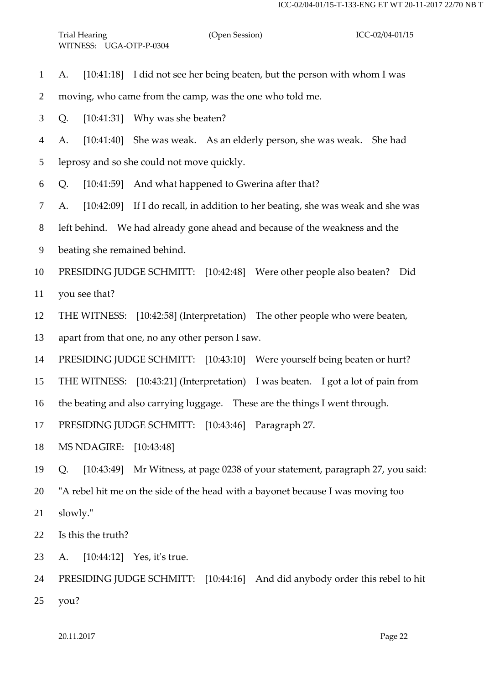- A. [10:41:18] I did not see her being beaten, but the person with whom I was
- moving, who came from the camp, was the one who told me.
- Q. [10:41:31] Why was she beaten?
- A. [10:41:40] She was weak. As an elderly person, she was weak. She had
- leprosy and so she could not move quickly.
- Q. [10:41:59] And what happened to Gwerina after that?
- A. [10:42:09] If I do recall, in addition to her beating, she was weak and she was
- left behind. We had already gone ahead and because of the weakness and the
- beating she remained behind.
- PRESIDING JUDGE SCHMITT: [10:42:48] Were other people also beaten? Did
- you see that?
- THE WITNESS: [10:42:58] (Interpretation) The other people who were beaten,
- apart from that one, no any other person I saw.
- PRESIDING JUDGE SCHMITT: [10:43:10] Were yourself being beaten or hurt?
- THE WITNESS: [10:43:21] (Interpretation) I was beaten. I got a lot of pain from
- the beating and also carrying luggage. These are the things I went through.
- PRESIDING JUDGE SCHMITT: [10:43:46] Paragraph 27.
- MS NDAGIRE: [10:43:48]
- Q. [10:43:49] Mr Witness, at page 0238 of your statement, paragraph 27, you said:
- "A rebel hit me on the side of the head with a bayonet because I was moving too
- slowly."
- Is this the truth?
- A. [10:44:12] Yes, it's true.
- PRESIDING JUDGE SCHMITT: [10:44:16] And did anybody order this rebel to hit you?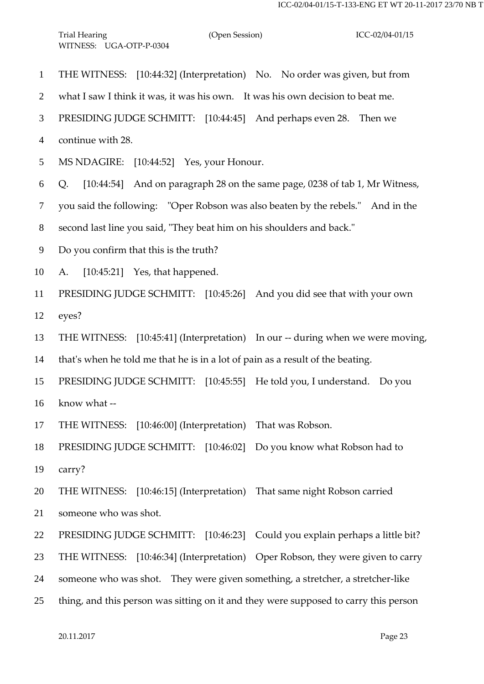THE WITNESS: [10:44:32] (Interpretation) No. No order was given, but from what I saw I think it was, it was his own. It was his own decision to beat me. PRESIDING JUDGE SCHMITT: [10:44:45] And perhaps even 28. Then we continue with 28. MS NDAGIRE: [10:44:52] Yes, your Honour. Q. [10:44:54] And on paragraph 28 on the same page, 0238 of tab 1, Mr Witness, you said the following: "Oper Robson was also beaten by the rebels." And in the second last line you said, "They beat him on his shoulders and back." Do you confirm that this is the truth? A. [10:45:21] Yes, that happened. PRESIDING JUDGE SCHMITT: [10:45:26] And you did see that with your own eyes? THE WITNESS: [10:45:41] (Interpretation) In our -- during when we were moving, that's when he told me that he is in a lot of pain as a result of the beating. PRESIDING JUDGE SCHMITT: [10:45:55] He told you, I understand. Do you know what -- THE WITNESS: [10:46:00] (Interpretation) That was Robson. PRESIDING JUDGE SCHMITT: [10:46:02] Do you know what Robson had to carry? THE WITNESS: [10:46:15] (Interpretation) That same night Robson carried someone who was shot. PRESIDING JUDGE SCHMITT: [10:46:23] Could you explain perhaps a little bit? THE WITNESS: [10:46:34] (Interpretation) Oper Robson, they were given to carry someone who was shot. They were given something, a stretcher, a stretcher-like thing, and this person was sitting on it and they were supposed to carry this person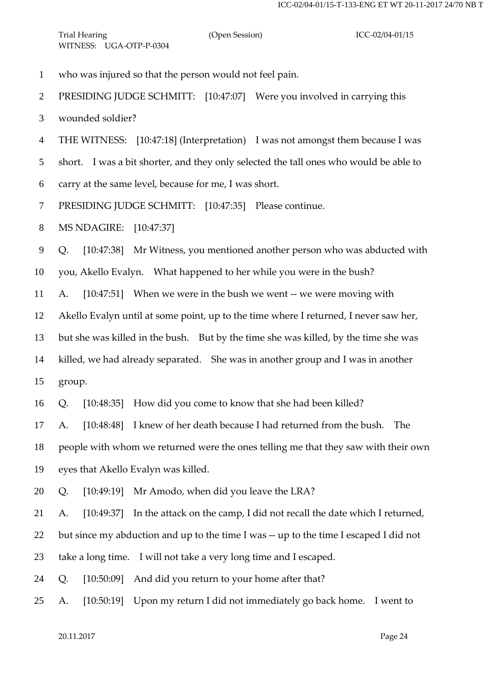who was injured so that the person would not feel pain. PRESIDING JUDGE SCHMITT: [10:47:07] Were you involved in carrying this wounded soldier? THE WITNESS: [10:47:18] (Interpretation) I was not amongst them because I was short. I was a bit shorter, and they only selected the tall ones who would be able to carry at the same level, because for me, I was short. PRESIDING JUDGE SCHMITT: [10:47:35] Please continue. MS NDAGIRE: [10:47:37] Q. [10:47:38] Mr Witness, you mentioned another person who was abducted with you, Akello Evalyn. What happened to her while you were in the bush? A. [10:47:51] When we were in the bush we went -- we were moving with Akello Evalyn until at some point, up to the time where I returned, I never saw her, but she was killed in the bush. But by the time she was killed, by the time she was killed, we had already separated. She was in another group and I was in another group. Q. [10:48:35] How did you come to know that she had been killed? A. [10:48:48] I knew of her death because I had returned from the bush. The people with whom we returned were the ones telling me that they saw with their own eyes that Akello Evalyn was killed. Q. [10:49:19] Mr Amodo, when did you leave the LRA? A. [10:49:37] In the attack on the camp, I did not recall the date which I returned, but since my abduction and up to the time I was -- up to the time I escaped I did not take a long time. I will not take a very long time and I escaped. Q. [10:50:09] And did you return to your home after that?

A. [10:50:19] Upon my return I did not immediately go back home. I went to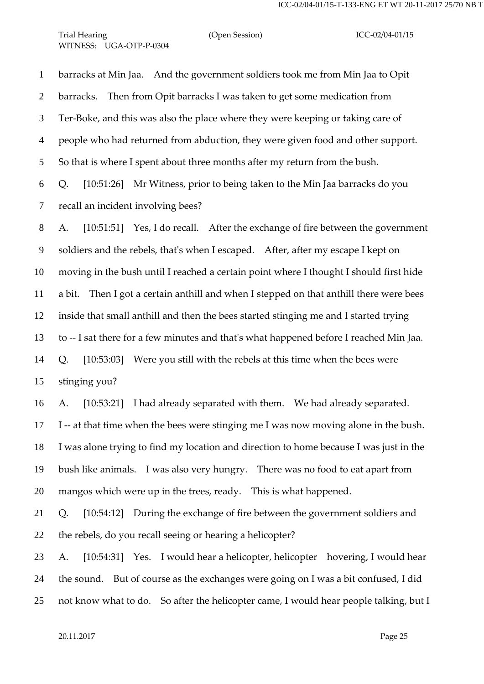Trial Hearing (Open Session) ICC-02/04-01/15 WITNESS: UGA-OTP-P-0304

 barracks at Min Jaa. And the government soldiers took me from Min Jaa to Opit barracks. Then from Opit barracks I was taken to get some medication from Ter-Boke, and this was also the place where they were keeping or taking care of people who had returned from abduction, they were given food and other support. So that is where I spent about three months after my return from the bush. Q. [10:51:26] Mr Witness, prior to being taken to the Min Jaa barracks do you recall an incident involving bees?

 A. [10:51:51] Yes, I do recall. After the exchange of fire between the government soldiers and the rebels, that's when I escaped. After, after my escape I kept on moving in the bush until I reached a certain point where I thought I should first hide a bit. Then I got a certain anthill and when I stepped on that anthill there were bees inside that small anthill and then the bees started stinging me and I started trying to -- I sat there for a few minutes and that's what happened before I reached Min Jaa. Q. [10:53:03] Were you still with the rebels at this time when the bees were stinging you?

 A. [10:53:21] I had already separated with them. We had already separated. I -- at that time when the bees were stinging me I was now moving alone in the bush. I was alone trying to find my location and direction to home because I was just in the bush like animals. I was also very hungry. There was no food to eat apart from mangos which were up in the trees, ready. This is what happened.

 Q. [10:54:12] During the exchange of fire between the government soldiers and the rebels, do you recall seeing or hearing a helicopter?

 A. [10:54:31] Yes. I would hear a helicopter, helicopter hovering, I would hear the sound. But of course as the exchanges were going on I was a bit confused, I did not know what to do. So after the helicopter came, I would hear people talking, but I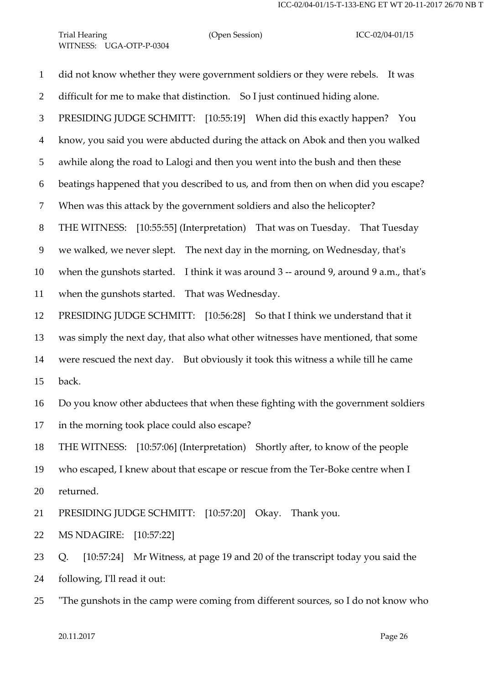Trial Hearing (Open Session) ICC-02/04-01/15 WITNESS: UGA-OTP-P-0304

 did not know whether they were government soldiers or they were rebels. It was difficult for me to make that distinction. So I just continued hiding alone. PRESIDING JUDGE SCHMITT: [10:55:19] When did this exactly happen? You know, you said you were abducted during the attack on Abok and then you walked awhile along the road to Lalogi and then you went into the bush and then these beatings happened that you described to us, and from then on when did you escape? When was this attack by the government soldiers and also the helicopter? THE WITNESS: [10:55:55] (Interpretation) That was on Tuesday. That Tuesday we walked, we never slept. The next day in the morning, on Wednesday, that's when the gunshots started. I think it was around 3 -- around 9, around 9 a.m., that's when the gunshots started. That was Wednesday. PRESIDING JUDGE SCHMITT: [10:56:28] So that I think we understand that it was simply the next day, that also what other witnesses have mentioned, that some were rescued the next day. But obviously it took this witness a while till he came back. Do you know other abductees that when these fighting with the government soldiers in the morning took place could also escape? THE WITNESS: [10:57:06] (Interpretation) Shortly after, to know of the people who escaped, I knew about that escape or rescue from the Ter-Boke centre when I returned. PRESIDING JUDGE SCHMITT: [10:57:20] Okay. Thank you. MS NDAGIRE: [10:57:22] Q. [10:57:24] Mr Witness, at page 19 and 20 of the transcript today you said the following, I'll read it out:

"The gunshots in the camp were coming from different sources, so I do not know who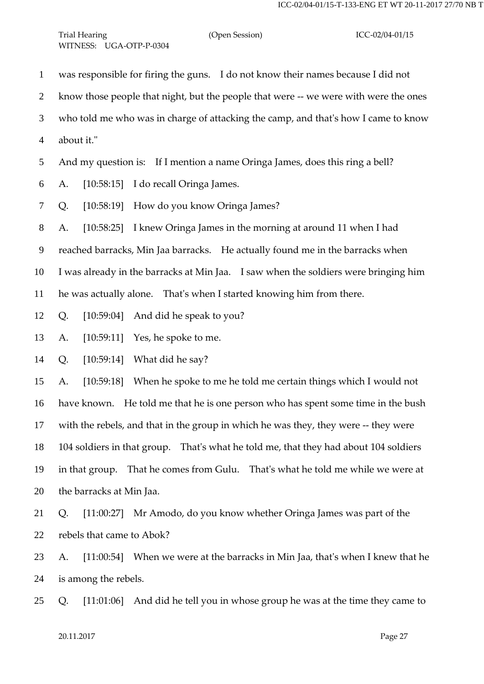was responsible for firing the guns. I do not know their names because I did not know those people that night, but the people that were -- we were with were the ones who told me who was in charge of attacking the camp, and that's how I came to know about it." And my question is: If I mention a name Oringa James, does this ring a bell? A. [10:58:15] I do recall Oringa James. Q. [10:58:19] How do you know Oringa James? A. [10:58:25] I knew Oringa James in the morning at around 11 when I had reached barracks, Min Jaa barracks. He actually found me in the barracks when I was already in the barracks at Min Jaa. I saw when the soldiers were bringing him he was actually alone. That's when I started knowing him from there. Q. [10:59:04] And did he speak to you? A. [10:59:11] Yes, he spoke to me. Q. [10:59:14] What did he say? A. [10:59:18] When he spoke to me he told me certain things which I would not have known. He told me that he is one person who has spent some time in the bush with the rebels, and that in the group in which he was they, they were -- they were 104 soldiers in that group. That's what he told me, that they had about 104 soldiers

 in that group. That he comes from Gulu. That's what he told me while we were at the barracks at Min Jaa.

 Q. [11:00:27] Mr Amodo, do you know whether Oringa James was part of the rebels that came to Abok?

 A. [11:00:54] When we were at the barracks in Min Jaa, that's when I knew that he is among the rebels.

Q. [11:01:06] And did he tell you in whose group he was at the time they came to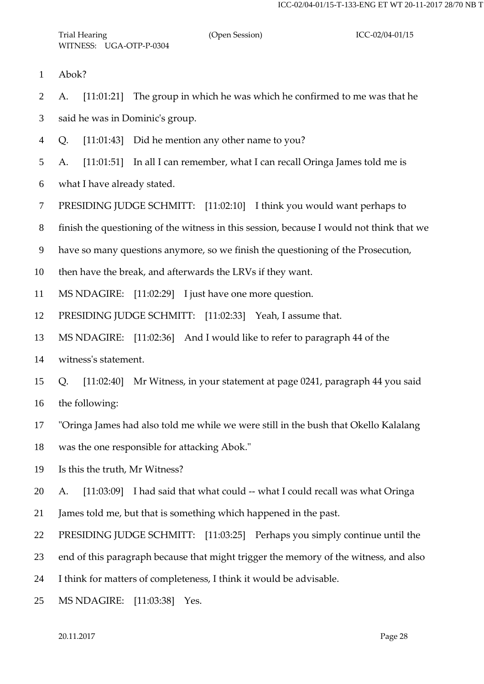Abok?

A. [11:01:21] The group in which he was which he confirmed to me was that he

said he was in Dominic's group.

Q. [11:01:43] Did he mention any other name to you?

A. [11:01:51] In all I can remember, what I can recall Oringa James told me is

what I have already stated.

PRESIDING JUDGE SCHMITT: [11:02:10] I think you would want perhaps to

finish the questioning of the witness in this session, because I would not think that we

have so many questions anymore, so we finish the questioning of the Prosecution,

then have the break, and afterwards the LRVs if they want.

MS NDAGIRE: [11:02:29] I just have one more question.

PRESIDING JUDGE SCHMITT: [11:02:33] Yeah, I assume that.

MS NDAGIRE: [11:02:36] And I would like to refer to paragraph 44 of the

witness's statement.

 Q. [11:02:40] Mr Witness, in your statement at page 0241, paragraph 44 you said the following:

"Oringa James had also told me while we were still in the bush that Okello Kalalang

was the one responsible for attacking Abok."

Is this the truth, Mr Witness?

A. [11:03:09] I had said that what could -- what I could recall was what Oringa

James told me, but that is something which happened in the past.

22 PRESIDING JUDGE SCHMITT: [11:03:25] Perhaps you simply continue until the

end of this paragraph because that might trigger the memory of the witness, and also

I think for matters of completeness, I think it would be advisable.

MS NDAGIRE: [11:03:38] Yes.

20.11.2017 Page 28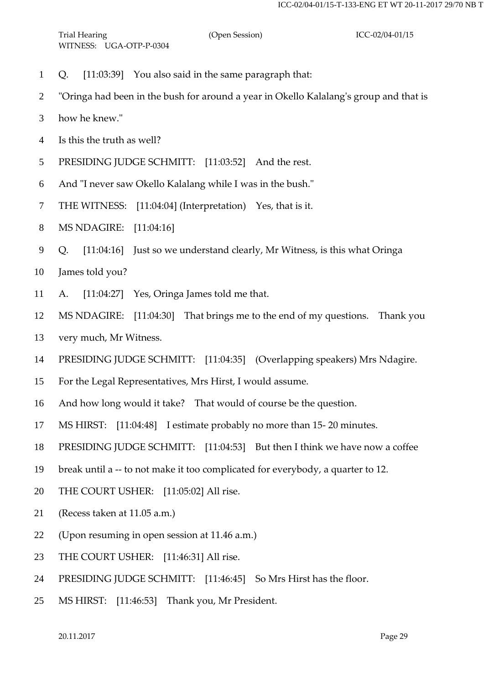- Q. [11:03:39] You also said in the same paragraph that:
- "Oringa had been in the bush for around a year in Okello Kalalang's group and that is
- how he knew."
- Is this the truth as well?
- PRESIDING JUDGE SCHMITT: [11:03:52] And the rest.
- And "I never saw Okello Kalalang while I was in the bush."
- THE WITNESS: [11:04:04] (Interpretation) Yes, that is it.
- MS NDAGIRE: [11:04:16]
- Q. [11:04:16] Just so we understand clearly, Mr Witness, is this what Oringa
- James told you?
- A. [11:04:27] Yes, Oringa James told me that.
- MS NDAGIRE: [11:04:30] That brings me to the end of my questions. Thank you
- very much, Mr Witness.
- PRESIDING JUDGE SCHMITT: [11:04:35] (Overlapping speakers) Mrs Ndagire.
- For the Legal Representatives, Mrs Hirst, I would assume.
- And how long would it take? That would of course be the question.
- MS HIRST: [11:04:48] I estimate probably no more than 15- 20 minutes.
- PRESIDING JUDGE SCHMITT: [11:04:53] But then I think we have now a coffee
- break until a -- to not make it too complicated for everybody, a quarter to 12.
- THE COURT USHER: [11:05:02] All rise.
- (Recess taken at 11.05 a.m.)
- (Upon resuming in open session at 11.46 a.m.)
- THE COURT USHER: [11:46:31] All rise.
- PRESIDING JUDGE SCHMITT: [11:46:45] So Mrs Hirst has the floor.
- MS HIRST: [11:46:53] Thank you, Mr President.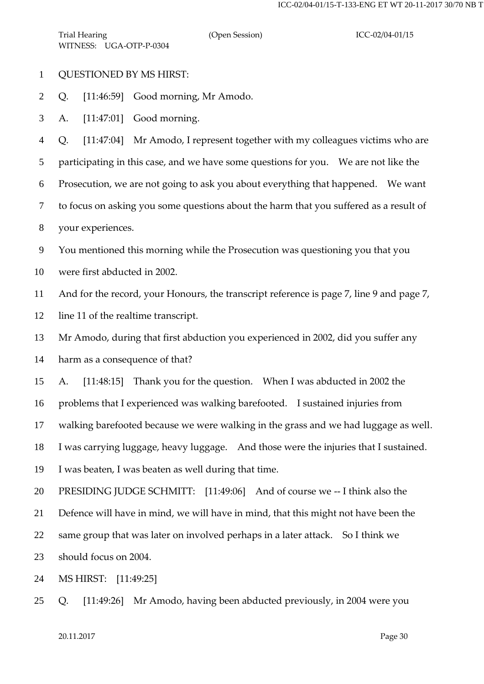- QUESTIONED BY MS HIRST:
- Q. [11:46:59] Good morning, Mr Amodo.
- A. [11:47:01] Good morning.

Q. [11:47:04] Mr Amodo, I represent together with my colleagues victims who are

participating in this case, and we have some questions for you. We are not like the

Prosecution, we are not going to ask you about everything that happened. We want

to focus on asking you some questions about the harm that you suffered as a result of

your experiences.

You mentioned this morning while the Prosecution was questioning you that you

were first abducted in 2002.

And for the record, your Honours, the transcript reference is page 7, line 9 and page 7,

line 11 of the realtime transcript.

Mr Amodo, during that first abduction you experienced in 2002, did you suffer any

harm as a consequence of that?

A. [11:48:15] Thank you for the question. When I was abducted in 2002 the

problems that I experienced was walking barefooted. I sustained injuries from

walking barefooted because we were walking in the grass and we had luggage as well.

I was carrying luggage, heavy luggage. And those were the injuries that I sustained.

I was beaten, I was beaten as well during that time.

PRESIDING JUDGE SCHMITT: [11:49:06] And of course we -- I think also the

Defence will have in mind, we will have in mind, that this might not have been the

same group that was later on involved perhaps in a later attack. So I think we

should focus on 2004.

MS HIRST: [11:49:25]

Q. [11:49:26] Mr Amodo, having been abducted previously, in 2004 were you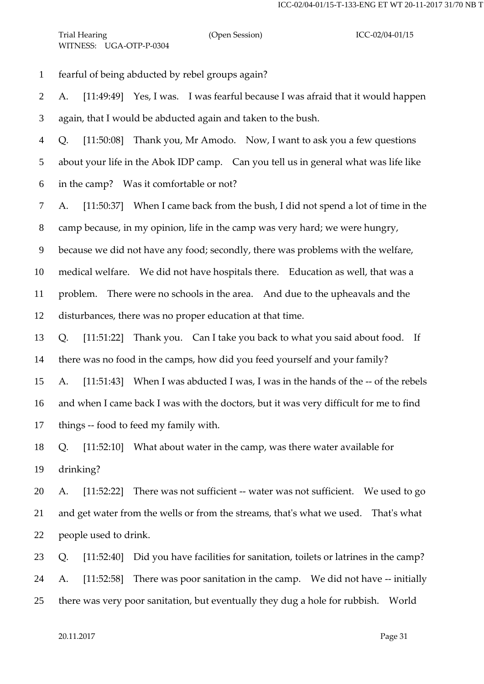fearful of being abducted by rebel groups again?

 A. [11:49:49] Yes, I was. I was fearful because I was afraid that it would happen again, that I would be abducted again and taken to the bush.

 Q. [11:50:08] Thank you, Mr Amodo. Now, I want to ask you a few questions about your life in the Abok IDP camp. Can you tell us in general what was life like in the camp? Was it comfortable or not?

A. [11:50:37] When I came back from the bush, I did not spend a lot of time in the

camp because, in my opinion, life in the camp was very hard; we were hungry,

because we did not have any food; secondly, there was problems with the welfare,

medical welfare. We did not have hospitals there. Education as well, that was a

problem. There were no schools in the area. And due to the upheavals and the

disturbances, there was no proper education at that time.

 Q. [11:51:22] Thank you. Can I take you back to what you said about food. If there was no food in the camps, how did you feed yourself and your family?

 A. [11:51:43] When I was abducted I was, I was in the hands of the -- of the rebels and when I came back I was with the doctors, but it was very difficult for me to find things -- food to feed my family with.

 Q. [11:52:10] What about water in the camp, was there water available for drinking?

 A. [11:52:22] There was not sufficient -- water was not sufficient. We used to go and get water from the wells or from the streams, that's what we used. That's what people used to drink.

 Q. [11:52:40] Did you have facilities for sanitation, toilets or latrines in the camp? 24 A. [11:52:58] There was poor sanitation in the camp. We did not have -- initially there was very poor sanitation, but eventually they dug a hole for rubbish. World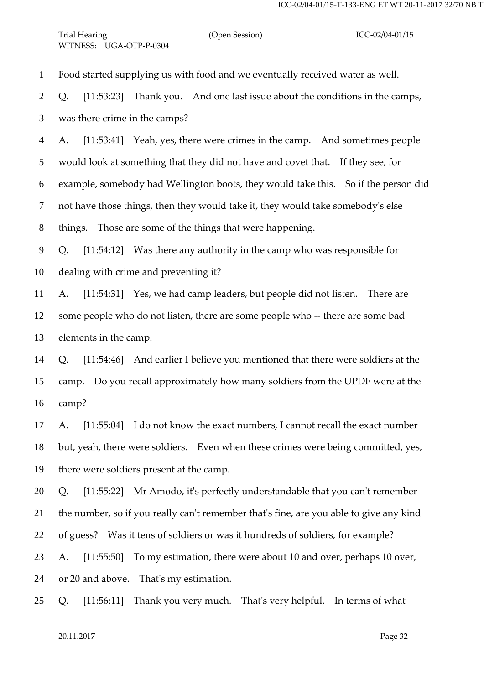Trial Hearing (Open Session) ICC-02/04-01/15 WITNESS: UGA-OTP-P-0304

Food started supplying us with food and we eventually received water as well.

Q. [11:53:23] Thank you. And one last issue about the conditions in the camps,

was there crime in the camps?

 A. [11:53:41] Yeah, yes, there were crimes in the camp. And sometimes people would look at something that they did not have and covet that. If they see, for example, somebody had Wellington boots, they would take this. So if the person did not have those things, then they would take it, they would take somebody's else things. Those are some of the things that were happening.

 Q. [11:54:12] Was there any authority in the camp who was responsible for dealing with crime and preventing it?

 A. [11:54:31] Yes, we had camp leaders, but people did not listen. There are some people who do not listen, there are some people who -- there are some bad elements in the camp.

 Q. [11:54:46] And earlier I believe you mentioned that there were soldiers at the camp. Do you recall approximately how many soldiers from the UPDF were at the camp?

 A. [11:55:04] I do not know the exact numbers, I cannot recall the exact number but, yeah, there were soldiers. Even when these crimes were being committed, yes, there were soldiers present at the camp.

 Q. [11:55:22] Mr Amodo, it's perfectly understandable that you can't remember the number, so if you really can't remember that's fine, are you able to give any kind of guess? Was it tens of soldiers or was it hundreds of soldiers, for example? A. [11:55:50] To my estimation, there were about 10 and over, perhaps 10 over, or 20 and above. That's my estimation.

Q. [11:56:11] Thank you very much. That's very helpful. In terms of what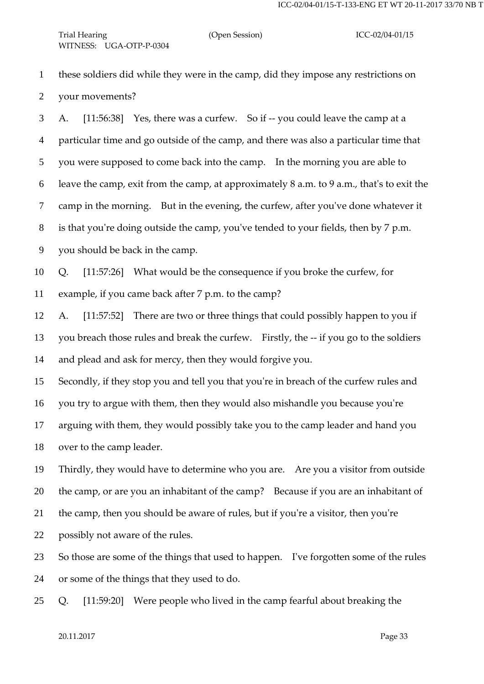these soldiers did while they were in the camp, did they impose any restrictions on your movements?

 A. [11:56:38] Yes, there was a curfew. So if -- you could leave the camp at a particular time and go outside of the camp, and there was also a particular time that you were supposed to come back into the camp. In the morning you are able to leave the camp, exit from the camp, at approximately 8 a.m. to 9 a.m., that's to exit the camp in the morning. But in the evening, the curfew, after you've done whatever it is that you're doing outside the camp, you've tended to your fields, then by 7 p.m. you should be back in the camp.

 Q. [11:57:26] What would be the consequence if you broke the curfew, for example, if you came back after 7 p.m. to the camp?

 A. [11:57:52] There are two or three things that could possibly happen to you if you breach those rules and break the curfew. Firstly, the -- if you go to the soldiers and plead and ask for mercy, then they would forgive you.

Secondly, if they stop you and tell you that you're in breach of the curfew rules and

you try to argue with them, then they would also mishandle you because you're

 arguing with them, they would possibly take you to the camp leader and hand you over to the camp leader.

 Thirdly, they would have to determine who you are. Are you a visitor from outside the camp, or are you an inhabitant of the camp? Because if you are an inhabitant of the camp, then you should be aware of rules, but if you're a visitor, then you're

possibly not aware of the rules.

 So those are some of the things that used to happen. I've forgotten some of the rules or some of the things that they used to do.

Q. [11:59:20] Were people who lived in the camp fearful about breaking the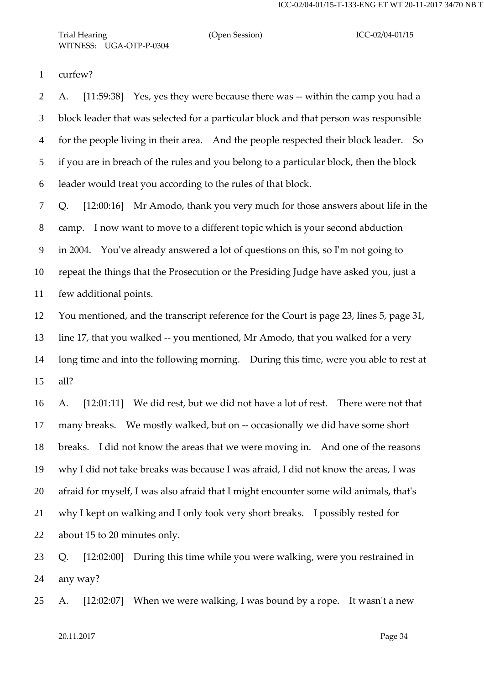Trial Hearing (Open Session) ICC-02/04-01/15 WITNESS: UGA-OTP-P-0304

curfew?

 A. [11:59:38] Yes, yes they were because there was -- within the camp you had a block leader that was selected for a particular block and that person was responsible for the people living in their area. And the people respected their block leader. So if you are in breach of the rules and you belong to a particular block, then the block leader would treat you according to the rules of that block.

 Q. [12:00:16] Mr Amodo, thank you very much for those answers about life in the camp. I now want to move to a different topic which is your second abduction in 2004. You've already answered a lot of questions on this, so I'm not going to repeat the things that the Prosecution or the Presiding Judge have asked you, just a few additional points.

 You mentioned, and the transcript reference for the Court is page 23, lines 5, page 31, line 17, that you walked -- you mentioned, Mr Amodo, that you walked for a very long time and into the following morning. During this time, were you able to rest at all?

 A. [12:01:11] We did rest, but we did not have a lot of rest. There were not that many breaks. We mostly walked, but on -- occasionally we did have some short breaks. I did not know the areas that we were moving in. And one of the reasons why I did not take breaks was because I was afraid, I did not know the areas, I was afraid for myself, I was also afraid that I might encounter some wild animals, that's why I kept on walking and I only took very short breaks. I possibly rested for about 15 to 20 minutes only.

 Q. [12:02:00] During this time while you were walking, were you restrained in any way?

A. [12:02:07] When we were walking, I was bound by a rope. It wasn't a new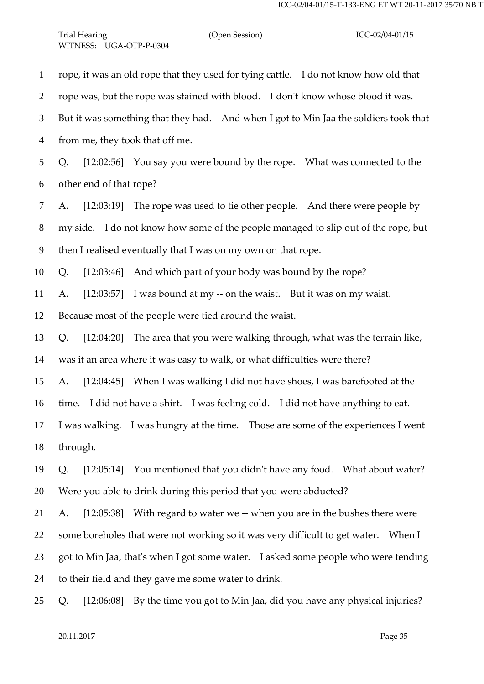rope, it was an old rope that they used for tying cattle. I do not know how old that rope was, but the rope was stained with blood. I don't know whose blood it was. But it was something that they had. And when I got to Min Jaa the soldiers took that from me, they took that off me. Q. [12:02:56] You say you were bound by the rope. What was connected to the other end of that rope? A. [12:03:19] The rope was used to tie other people. And there were people by my side. I do not know how some of the people managed to slip out of the rope, but then I realised eventually that I was on my own on that rope. Q. [12:03:46] And which part of your body was bound by the rope? A. [12:03:57] I was bound at my -- on the waist. But it was on my waist. Because most of the people were tied around the waist. Q. [12:04:20] The area that you were walking through, what was the terrain like, was it an area where it was easy to walk, or what difficulties were there? A. [12:04:45] When I was walking I did not have shoes, I was barefooted at the time. I did not have a shirt. I was feeling cold. I did not have anything to eat. I was walking. I was hungry at the time. Those are some of the experiences I went through. Q. [12:05:14] You mentioned that you didn't have any food. What about water? Were you able to drink during this period that you were abducted? A. [12:05:38] With regard to water we -- when you are in the bushes there were some boreholes that were not working so it was very difficult to get water. When I got to Min Jaa, that's when I got some water. I asked some people who were tending to their field and they gave me some water to drink.

Q. [12:06:08] By the time you got to Min Jaa, did you have any physical injuries?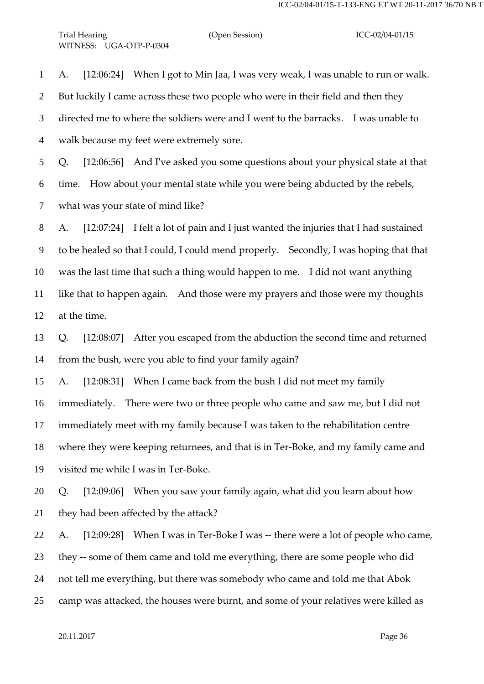A. [12:06:24] When I got to Min Jaa, I was very weak, I was unable to run or walk. But luckily I came across these two people who were in their field and then they directed me to where the soldiers were and I went to the barracks. I was unable to walk because my feet were extremely sore. Q. [12:06:56] And I've asked you some questions about your physical state at that time. How about your mental state while you were being abducted by the rebels, what was your state of mind like? A. [12:07:24] I felt a lot of pain and I just wanted the injuries that I had sustained to be healed so that I could, I could mend properly. Secondly, I was hoping that that was the last time that such a thing would happen to me. I did not want anything

at the time.

 Q. [12:08:07] After you escaped from the abduction the second time and returned from the bush, were you able to find your family again?

like that to happen again. And those were my prayers and those were my thoughts

A. [12:08:31] When I came back from the bush I did not meet my family

immediately. There were two or three people who came and saw me, but I did not

immediately meet with my family because I was taken to the rehabilitation centre

where they were keeping returnees, and that is in Ter-Boke, and my family came and

visited me while I was in Ter-Boke.

 Q. [12:09:06] When you saw your family again, what did you learn about how they had been affected by the attack?

 A. [12:09:28] When I was in Ter-Boke I was -- there were a lot of people who came, they -- some of them came and told me everything, there are some people who did not tell me everything, but there was somebody who came and told me that Abok camp was attacked, the houses were burnt, and some of your relatives were killed as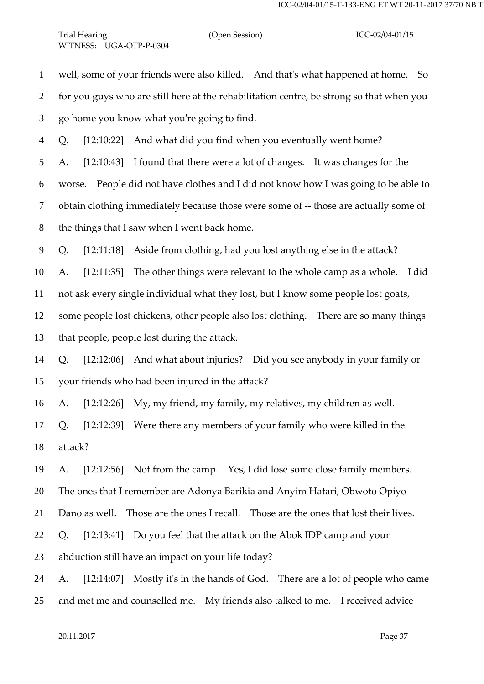well, some of your friends were also killed. And that's what happened at home. So

for you guys who are still here at the rehabilitation centre, be strong so that when you

go home you know what you're going to find.

Q. [12:10:22] And what did you find when you eventually went home?

A. [12:10:43] I found that there were a lot of changes. It was changes for the

worse. People did not have clothes and I did not know how I was going to be able to

obtain clothing immediately because those were some of -- those are actually some of

the things that I saw when I went back home.

Q. [12:11:18] Aside from clothing, had you lost anything else in the attack?

A. [12:11:35] The other things were relevant to the whole camp as a whole. I did

not ask every single individual what they lost, but I know some people lost goats,

 some people lost chickens, other people also lost clothing. There are so many things that people, people lost during the attack.

 Q. [12:12:06] And what about injuries? Did you see anybody in your family or your friends who had been injured in the attack?

A. [12:12:26] My, my friend, my family, my relatives, my children as well.

 Q. [12:12:39] Were there any members of your family who were killed in the attack?

 A. [12:12:56] Not from the camp. Yes, I did lose some close family members. The ones that I remember are Adonya Barikia and Anyim Hatari, Obwoto Opiyo

Dano as well. Those are the ones I recall. Those are the ones that lost their lives.

Q. [12:13:41] Do you feel that the attack on the Abok IDP camp and your

abduction still have an impact on your life today?

A. [12:14:07] Mostly it's in the hands of God. There are a lot of people who came

and met me and counselled me. My friends also talked to me. I received advice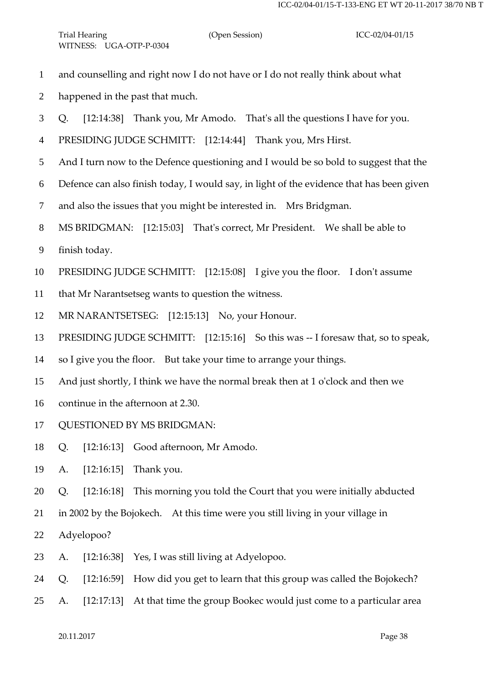- and counselling and right now I do not have or I do not really think about what
- happened in the past that much.
- Q. [12:14:38] Thank you, Mr Amodo. That's all the questions I have for you.
- PRESIDING JUDGE SCHMITT: [12:14:44] Thank you, Mrs Hirst.
- And I turn now to the Defence questioning and I would be so bold to suggest that the
- Defence can also finish today, I would say, in light of the evidence that has been given
- and also the issues that you might be interested in. Mrs Bridgman.
- MS BRIDGMAN: [12:15:03] That's correct, Mr President. We shall be able to
- finish today.
- PRESIDING JUDGE SCHMITT: [12:15:08] I give you the floor. I don't assume
- that Mr Narantsetseg wants to question the witness.
- MR NARANTSETSEG: [12:15:13] No, your Honour.
- PRESIDING JUDGE SCHMITT: [12:15:16] So this was -- I foresaw that, so to speak,
- so I give you the floor. But take your time to arrange your things.
- And just shortly, I think we have the normal break then at 1 o'clock and then we
- continue in the afternoon at 2.30.
- QUESTIONED BY MS BRIDGMAN:
- Q. [12:16:13] Good afternoon, Mr Amodo.
- A. [12:16:15] Thank you.
- Q. [12:16:18] This morning you told the Court that you were initially abducted
- in 2002 by the Bojokech. At this time were you still living in your village in
- Adyelopoo?
- A. [12:16:38] Yes, I was still living at Adyelopoo.
- Q. [12:16:59] How did you get to learn that this group was called the Bojokech?
- A. [12:17:13] At that time the group Bookec would just come to a particular area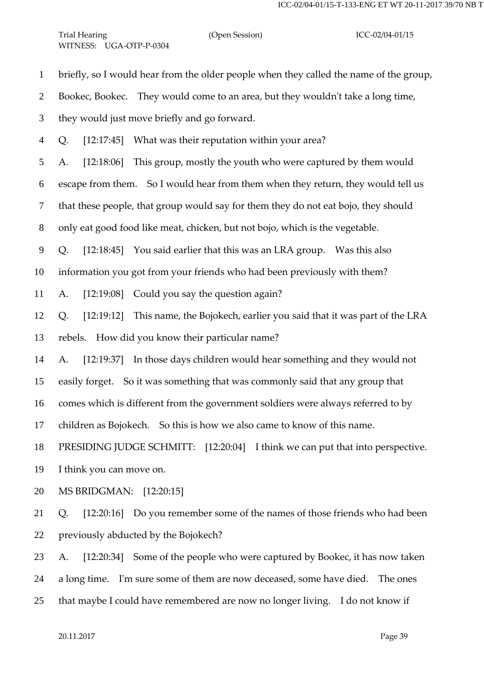briefly, so I would hear from the older people when they called the name of the group,

Bookec, Bookec. They would come to an area, but they wouldn't take a long time,

they would just move briefly and go forward.

Q. [12:17:45] What was their reputation within your area?

A. [12:18:06] This group, mostly the youth who were captured by them would

escape from them. So I would hear from them when they return, they would tell us

that these people, that group would say for them they do not eat bojo, they should

only eat good food like meat, chicken, but not bojo, which is the vegetable.

Q. [12:18:45] You said earlier that this was an LRA group. Was this also

information you got from your friends who had been previously with them?

A. [12:19:08] Could you say the question again?

 Q. [12:19:12] This name, the Bojokech, earlier you said that it was part of the LRA rebels. How did you know their particular name?

A. [12:19:37] In those days children would hear something and they would not

easily forget. So it was something that was commonly said that any group that

comes which is different from the government soldiers were always referred to by

children as Bojokech. So this is how we also came to know of this name.

PRESIDING JUDGE SCHMITT: [12:20:04] I think we can put that into perspective.

I think you can move on.

MS BRIDGMAN: [12:20:15]

 Q. [12:20:16] Do you remember some of the names of those friends who had been previously abducted by the Bojokech?

A. [12:20:34] Some of the people who were captured by Bookec, it has now taken

a long time. I'm sure some of them are now deceased, some have died. The ones

that maybe I could have remembered are now no longer living. I do not know if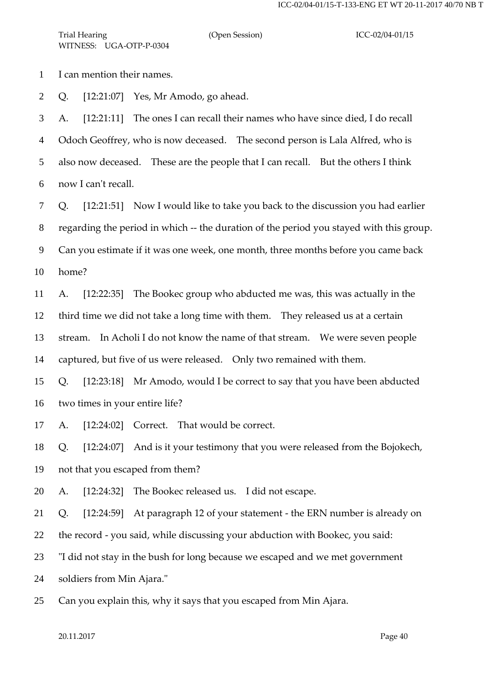I can mention their names.

Q. [12:21:07] Yes, Mr Amodo, go ahead.

 A. [12:21:11] The ones I can recall their names who have since died, I do recall Odoch Geoffrey, who is now deceased. The second person is Lala Alfred, who is also now deceased. These are the people that I can recall. But the others I think now I can't recall.

Q. [12:21:51] Now I would like to take you back to the discussion you had earlier

regarding the period in which -- the duration of the period you stayed with this group.

Can you estimate if it was one week, one month, three months before you came back

home?

 A. [12:22:35] The Bookec group who abducted me was, this was actually in the third time we did not take a long time with them. They released us at a certain stream. In Acholi I do not know the name of that stream. We were seven people captured, but five of us were released. Only two remained with them.

 Q. [12:23:18] Mr Amodo, would I be correct to say that you have been abducted two times in your entire life?

A. [12:24:02] Correct. That would be correct.

 Q. [12:24:07] And is it your testimony that you were released from the Bojokech, not that you escaped from them?

A. [12:24:32] The Bookec released us. I did not escape.

Q. [12:24:59] At paragraph 12 of your statement - the ERN number is already on

the record - you said, while discussing your abduction with Bookec, you said:

"I did not stay in the bush for long because we escaped and we met government

soldiers from Min Ajara."

Can you explain this, why it says that you escaped from Min Ajara.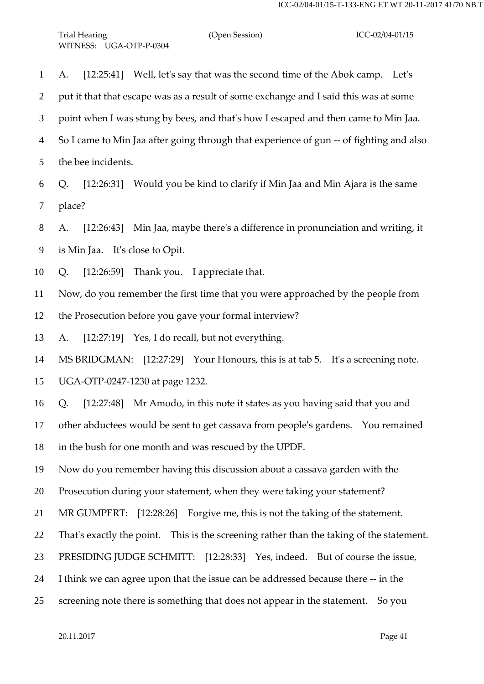| $\mathbf{1}$   | [12:25:41] Well, let's say that was the second time of the Abok camp. Let's<br>A.        |
|----------------|------------------------------------------------------------------------------------------|
| $\overline{2}$ | put it that that escape was as a result of some exchange and I said this was at some     |
| 3              | point when I was stung by bees, and that's how I escaped and then came to Min Jaa.       |
| $\overline{4}$ | So I came to Min Jaa after going through that experience of gun -- of fighting and also  |
| 5              | the bee incidents.                                                                       |
| 6              | [12:26:31] Would you be kind to clarify if Min Jaa and Min Ajara is the same<br>Q.       |
| 7              | place?                                                                                   |
| 8              | [12:26:43] Min Jaa, maybe there's a difference in pronunciation and writing, it<br>A.    |
| 9              | is Min Jaa. It's close to Opit.                                                          |
| 10             | [12:26:59]<br>Thank you. I appreciate that.<br>Q.                                        |
| 11             | Now, do you remember the first time that you were approached by the people from          |
| 12             | the Prosecution before you gave your formal interview?                                   |
| 13             | [12:27:19] Yes, I do recall, but not everything.<br>A.                                   |
| 14             | MS BRIDGMAN: [12:27:29] Your Honours, this is at tab 5. It's a screening note.           |
| 15             | UGA-OTP-0247-1230 at page 1232.                                                          |
| 16             | [12:27:48] Mr Amodo, in this note it states as you having said that you and<br>Q.        |
| 17             | other abductees would be sent to get cassava from people's gardens. You remained         |
| 18             | in the bush for one month and was rescued by the UPDF.                                   |
| 19             | Now do you remember having this discussion about a cassava garden with the               |
| 20             | Prosecution during your statement, when they were taking your statement?                 |
| 21             | MR GUMPERT: [12:28:26] Forgive me, this is not the taking of the statement.              |
| 22             | That's exactly the point. This is the screening rather than the taking of the statement. |
| 23             | PRESIDING JUDGE SCHMITT: [12:28:33] Yes, indeed. But of course the issue,                |
| 24             | I think we can agree upon that the issue can be addressed because there -- in the        |
| 25             | screening note there is something that does not appear in the statement. So you          |
|                |                                                                                          |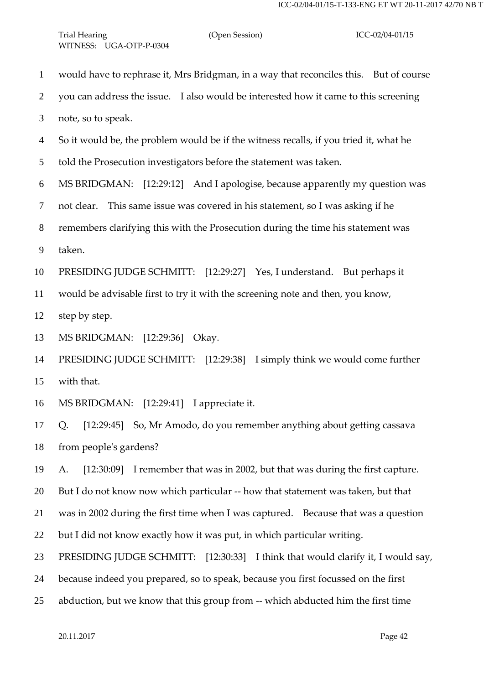would have to rephrase it, Mrs Bridgman, in a way that reconciles this. But of course you can address the issue. I also would be interested how it came to this screening note, so to speak. So it would be, the problem would be if the witness recalls, if you tried it, what he told the Prosecution investigators before the statement was taken. MS BRIDGMAN: [12:29:12] And I apologise, because apparently my question was not clear. This same issue was covered in his statement, so I was asking if he remembers clarifying this with the Prosecution during the time his statement was taken. PRESIDING JUDGE SCHMITT: [12:29:27] Yes, I understand. But perhaps it would be advisable first to try it with the screening note and then, you know, step by step. MS BRIDGMAN: [12:29:36] Okay. PRESIDING JUDGE SCHMITT: [12:29:38] I simply think we would come further with that. MS BRIDGMAN: [12:29:41] I appreciate it. Q. [12:29:45] So, Mr Amodo, do you remember anything about getting cassava from people's gardens? A. [12:30:09] I remember that was in 2002, but that was during the first capture. But I do not know now which particular -- how that statement was taken, but that was in 2002 during the first time when I was captured. Because that was a question but I did not know exactly how it was put, in which particular writing. PRESIDING JUDGE SCHMITT: [12:30:33] I think that would clarify it, I would say, because indeed you prepared, so to speak, because you first focussed on the first abduction, but we know that this group from -- which abducted him the first time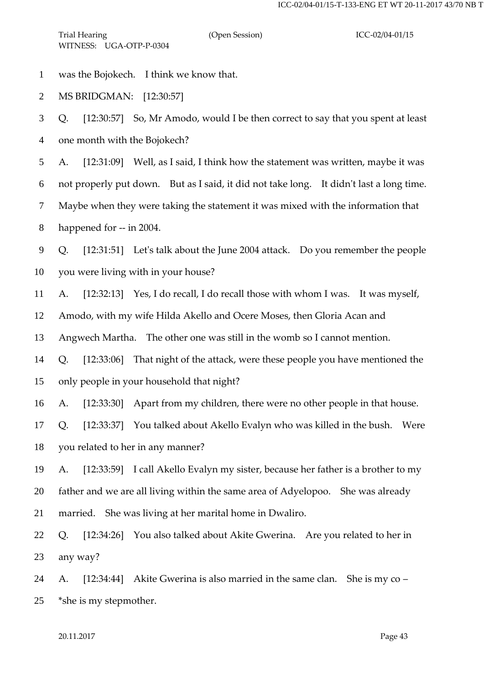was the Bojokech. I think we know that.

MS BRIDGMAN: [12:30:57]

 Q. [12:30:57] So, Mr Amodo, would I be then correct to say that you spent at least one month with the Bojokech?

A. [12:31:09] Well, as I said, I think how the statement was written, maybe it was

not properly put down. But as I said, it did not take long. It didn't last a long time.

Maybe when they were taking the statement it was mixed with the information that

happened for -- in 2004.

 Q. [12:31:51] Let's talk about the June 2004 attack. Do you remember the people you were living with in your house?

A. [12:32:13] Yes, I do recall, I do recall those with whom I was. It was myself,

Amodo, with my wife Hilda Akello and Ocere Moses, then Gloria Acan and

Angwech Martha. The other one was still in the womb so I cannot mention.

 Q. [12:33:06] That night of the attack, were these people you have mentioned the only people in your household that night?

A. [12:33:30] Apart from my children, there were no other people in that house.

 Q. [12:33:37] You talked about Akello Evalyn who was killed in the bush. Were you related to her in any manner?

 A. [12:33:59] I call Akello Evalyn my sister, because her father is a brother to my father and we are all living within the same area of Adyelopoo. She was already married. She was living at her marital home in Dwaliro.

 Q. [12:34:26] You also talked about Akite Gwerina. Are you related to her in any way?

 A. [12:34:44] Akite Gwerina is also married in the same clan. She is my co – \*she is my stepmother.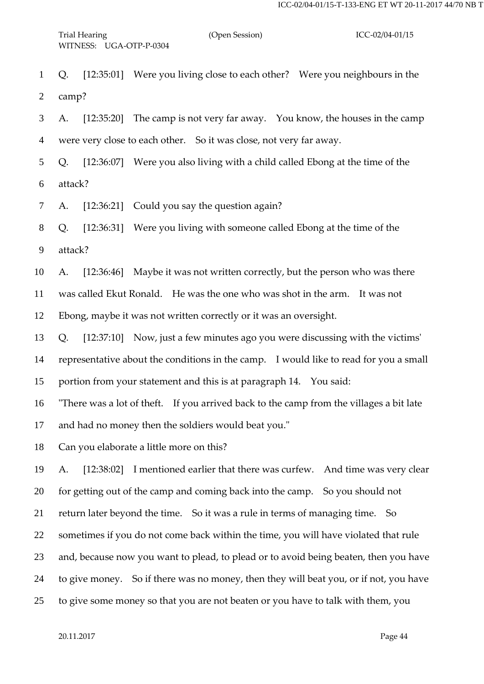Q. [12:35:01] Were you living close to each other? Were you neighbours in the camp?

 A. [12:35:20] The camp is not very far away. You know, the houses in the camp were very close to each other. So it was close, not very far away.

 Q. [12:36:07] Were you also living with a child called Ebong at the time of the attack?

A. [12:36:21] Could you say the question again?

 Q. [12:36:31] Were you living with someone called Ebong at the time of the attack?

A. [12:36:46] Maybe it was not written correctly, but the person who was there

was called Ekut Ronald. He was the one who was shot in the arm. It was not

Ebong, maybe it was not written correctly or it was an oversight.

Q. [12:37:10] Now, just a few minutes ago you were discussing with the victims'

representative about the conditions in the camp. I would like to read for you a small

portion from your statement and this is at paragraph 14. You said:

"There was a lot of theft. If you arrived back to the camp from the villages a bit late

and had no money then the soldiers would beat you."

Can you elaborate a little more on this?

 A. [12:38:02] I mentioned earlier that there was curfew. And time was very clear for getting out of the camp and coming back into the camp. So you should not return later beyond the time. So it was a rule in terms of managing time. So sometimes if you do not come back within the time, you will have violated that rule and, because now you want to plead, to plead or to avoid being beaten, then you have to give money. So if there was no money, then they will beat you, or if not, you have to give some money so that you are not beaten or you have to talk with them, you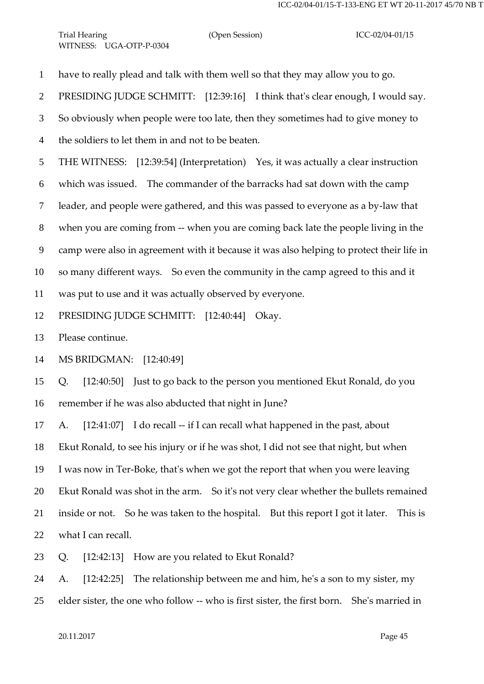have to really plead and talk with them well so that they may allow you to go.

PRESIDING JUDGE SCHMITT: [12:39:16] I think that's clear enough, I would say.

So obviously when people were too late, then they sometimes had to give money to

the soldiers to let them in and not to be beaten.

THE WITNESS: [12:39:54] (Interpretation) Yes, it was actually a clear instruction

which was issued. The commander of the barracks had sat down with the camp

leader, and people were gathered, and this was passed to everyone as a by-law that

when you are coming from -- when you are coming back late the people living in the

camp were also in agreement with it because it was also helping to protect their life in

so many different ways. So even the community in the camp agreed to this and it

was put to use and it was actually observed by everyone.

PRESIDING JUDGE SCHMITT: [12:40:44] Okay.

Please continue.

MS BRIDGMAN: [12:40:49]

 Q. [12:40:50] Just to go back to the person you mentioned Ekut Ronald, do you remember if he was also abducted that night in June?

17 A. [12:41:07] I do recall -- if I can recall what happened in the past, about

Ekut Ronald, to see his injury or if he was shot, I did not see that night, but when

I was now in Ter-Boke, that's when we got the report that when you were leaving

Ekut Ronald was shot in the arm. So it's not very clear whether the bullets remained

inside or not. So he was taken to the hospital. But this report I got it later. This is

what I can recall.

Q. [12:42:13] How are you related to Ekut Ronald?

A. [12:42:25] The relationship between me and him, he's a son to my sister, my

elder sister, the one who follow -- who is first sister, the first born. She's married in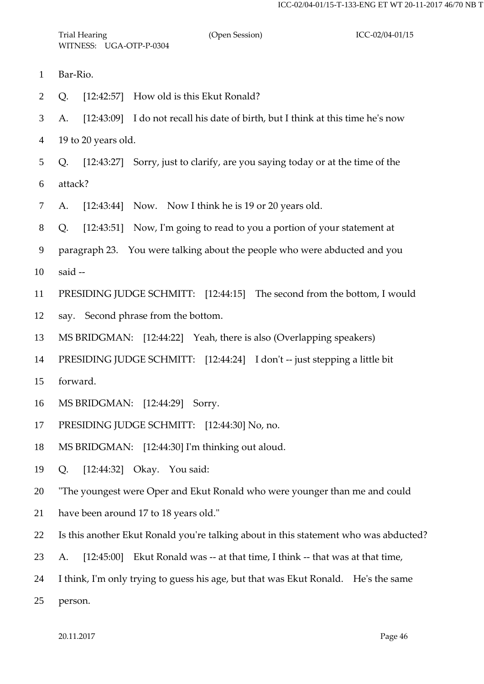- Bar-Rio.
- Q. [12:42:57] How old is this Ekut Ronald?

 A. [12:43:09] I do not recall his date of birth, but I think at this time he's now 19 to 20 years old.

 Q. [12:43:27] Sorry, just to clarify, are you saying today or at the time of the attack?

A. [12:43:44] Now. Now I think he is 19 or 20 years old.

Q. [12:43:51] Now, I'm going to read to you a portion of your statement at

paragraph 23. You were talking about the people who were abducted and you

said --

PRESIDING JUDGE SCHMITT: [12:44:15] The second from the bottom, I would

say. Second phrase from the bottom.

MS BRIDGMAN: [12:44:22] Yeah, there is also (Overlapping speakers)

PRESIDING JUDGE SCHMITT: [12:44:24] I don't -- just stepping a little bit

- forward.
- MS BRIDGMAN: [12:44:29] Sorry.
- PRESIDING JUDGE SCHMITT: [12:44:30] No, no.
- MS BRIDGMAN: [12:44:30] I'm thinking out aloud.
- Q. [12:44:32] Okay. You said:

"The youngest were Oper and Ekut Ronald who were younger than me and could

- have been around 17 to 18 years old."
- Is this another Ekut Ronald you're talking about in this statement who was abducted?
- A. [12:45:00] Ekut Ronald was -- at that time, I think -- that was at that time,
- I think, I'm only trying to guess his age, but that was Ekut Ronald. He's the same

person.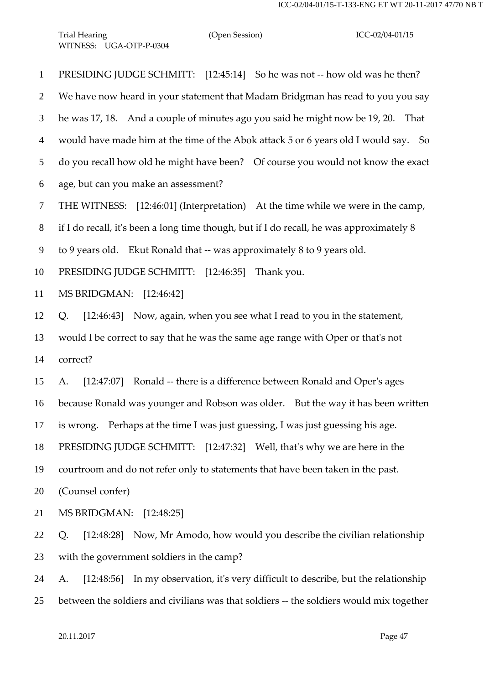PRESIDING JUDGE SCHMITT: [12:45:14] So he was not -- how old was he then? We have now heard in your statement that Madam Bridgman has read to you you say he was 17, 18. And a couple of minutes ago you said he might now be 19, 20. That would have made him at the time of the Abok attack 5 or 6 years old I would say. So do you recall how old he might have been? Of course you would not know the exact age, but can you make an assessment? THE WITNESS: [12:46:01] (Interpretation) At the time while we were in the camp, if I do recall, it's been a long time though, but if I do recall, he was approximately 8 to 9 years old. Ekut Ronald that -- was approximately 8 to 9 years old. PRESIDING JUDGE SCHMITT: [12:46:35] Thank you. MS BRIDGMAN: [12:46:42] Q. [12:46:43] Now, again, when you see what I read to you in the statement, would I be correct to say that he was the same age range with Oper or that's not correct? A. [12:47:07] Ronald -- there is a difference between Ronald and Oper's ages because Ronald was younger and Robson was older. But the way it has been written is wrong. Perhaps at the time I was just guessing, I was just guessing his age. PRESIDING JUDGE SCHMITT: [12:47:32] Well, that's why we are here in the courtroom and do not refer only to statements that have been taken in the past. (Counsel confer) MS BRIDGMAN: [12:48:25] Q. [12:48:28] Now, Mr Amodo, how would you describe the civilian relationship with the government soldiers in the camp? A. [12:48:56] In my observation, it's very difficult to describe, but the relationship between the soldiers and civilians was that soldiers -- the soldiers would mix together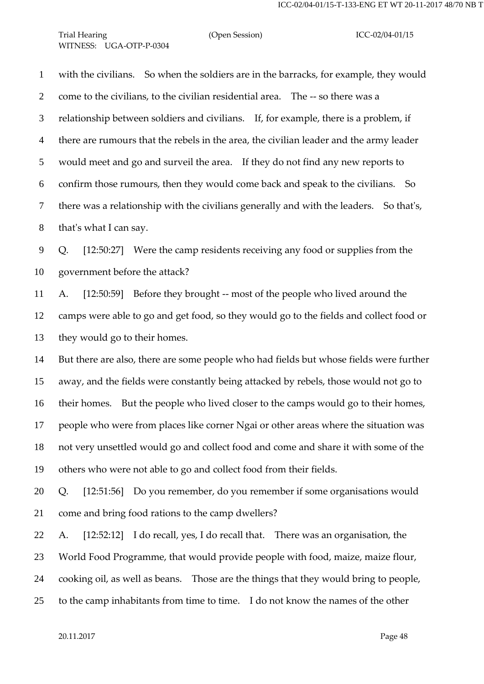## Trial Hearing (Open Session) ICC-02/04-01/15 WITNESS: UGA-OTP-P-0304

 with the civilians. So when the soldiers are in the barracks, for example, they would come to the civilians, to the civilian residential area. The -- so there was a relationship between soldiers and civilians. If, for example, there is a problem, if there are rumours that the rebels in the area, the civilian leader and the army leader would meet and go and surveil the area. If they do not find any new reports to confirm those rumours, then they would come back and speak to the civilians. So there was a relationship with the civilians generally and with the leaders. So that's, that's what I can say.

 Q. [12:50:27] Were the camp residents receiving any food or supplies from the government before the attack?

 A. [12:50:59] Before they brought -- most of the people who lived around the camps were able to go and get food, so they would go to the fields and collect food or they would go to their homes.

 But there are also, there are some people who had fields but whose fields were further away, and the fields were constantly being attacked by rebels, those would not go to their homes. But the people who lived closer to the camps would go to their homes, people who were from places like corner Ngai or other areas where the situation was not very unsettled would go and collect food and come and share it with some of the others who were not able to go and collect food from their fields.

 Q. [12:51:56] Do you remember, do you remember if some organisations would come and bring food rations to the camp dwellers?

 A. [12:52:12] I do recall, yes, I do recall that. There was an organisation, the World Food Programme, that would provide people with food, maize, maize flour, cooking oil, as well as beans. Those are the things that they would bring to people, to the camp inhabitants from time to time. I do not know the names of the other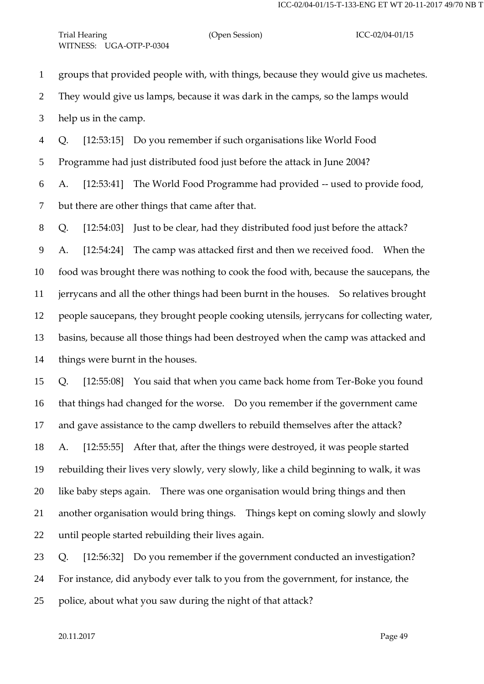groups that provided people with, with things, because they would give us machetes. They would give us lamps, because it was dark in the camps, so the lamps would help us in the camp. Q. [12:53:15] Do you remember if such organisations like World Food Programme had just distributed food just before the attack in June 2004? A. [12:53:41] The World Food Programme had provided -- used to provide food, but there are other things that came after that. Q. [12:54:03] Just to be clear, had they distributed food just before the attack? A. [12:54:24] The camp was attacked first and then we received food. When the food was brought there was nothing to cook the food with, because the saucepans, the jerrycans and all the other things had been burnt in the houses. So relatives brought people saucepans, they brought people cooking utensils, jerrycans for collecting water, basins, because all those things had been destroyed when the camp was attacked and things were burnt in the houses. Q. [12:55:08] You said that when you came back home from Ter-Boke you found

 that things had changed for the worse. Do you remember if the government came and gave assistance to the camp dwellers to rebuild themselves after the attack? A. [12:55:55] After that, after the things were destroyed, it was people started rebuilding their lives very slowly, very slowly, like a child beginning to walk, it was like baby steps again. There was one organisation would bring things and then another organisation would bring things. Things kept on coming slowly and slowly until people started rebuilding their lives again.

 Q. [12:56:32] Do you remember if the government conducted an investigation? For instance, did anybody ever talk to you from the government, for instance, the police, about what you saw during the night of that attack?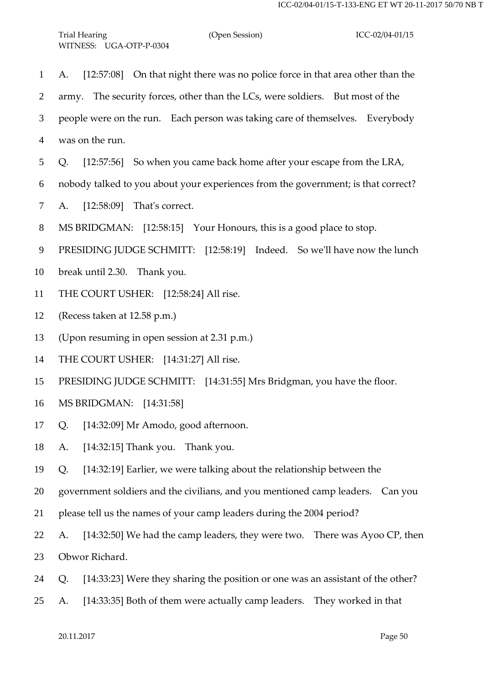| $\mathbf{1}$   | A. [12:57:08] On that night there was no police force in that area other than the     |
|----------------|---------------------------------------------------------------------------------------|
| $\overline{2}$ | army. The security forces, other than the LCs, were soldiers. But most of the         |
| 3              | people were on the run. Each person was taking care of themselves. Everybody          |
| 4              | was on the run.                                                                       |
| 5              | [12:57:56] So when you came back home after your escape from the LRA,<br>Q.           |
| 6              | nobody talked to you about your experiences from the government; is that correct?     |
| $\tau$         | A. [12:58:09] That's correct.                                                         |
| 8              | MS BRIDGMAN: [12:58:15] Your Honours, this is a good place to stop.                   |
| 9              | PRESIDING JUDGE SCHMITT: [12:58:19] Indeed. So we'll have now the lunch               |
| 10             | break until 2.30. Thank you.                                                          |
| 11             | THE COURT USHER: [12:58:24] All rise.                                                 |
| 12             | (Recess taken at 12.58 p.m.)                                                          |
| 13             | (Upon resuming in open session at 2.31 p.m.)                                          |
| 14             | THE COURT USHER: [14:31:27] All rise.                                                 |
| 15             | PRESIDING JUDGE SCHMITT: [14:31:55] Mrs Bridgman, you have the floor.                 |
| 16             | MS BRIDGMAN: [14:31:58]                                                               |
|                | 17 Q. [14:32:09] Mr Amodo, good afternoon.                                            |
| 18             | [14:32:15] Thank you. Thank you.<br>A.                                                |
| 19             | [14:32:19] Earlier, we were talking about the relationship between the<br>Q.          |
| 20             | government soldiers and the civilians, and you mentioned camp leaders. Can you        |
| 21             | please tell us the names of your camp leaders during the 2004 period?                 |
| 22             | [14:32:50] We had the camp leaders, they were two. There was Ayoo CP, then<br>A.      |
| 23             | Obwor Richard.                                                                        |
| 24             | [14:33:23] Were they sharing the position or one was an assistant of the other?<br>Q. |
|                |                                                                                       |

A. [14:33:35] Both of them were actually camp leaders. They worked in that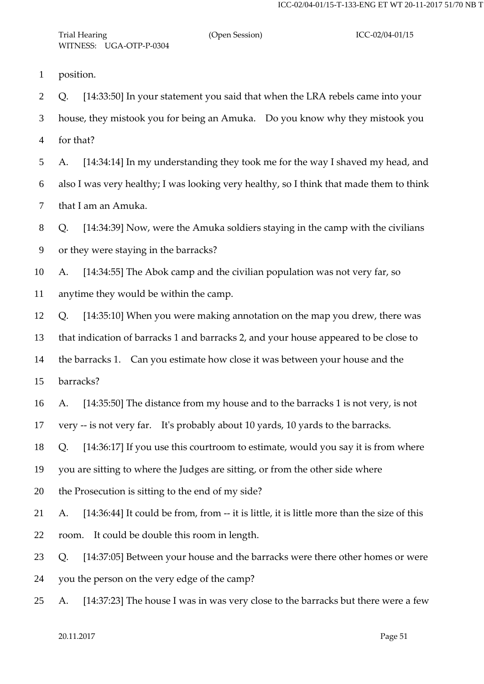position.

 Q. [14:33:50] In your statement you said that when the LRA rebels came into your house, they mistook you for being an Amuka. Do you know why they mistook you for that?

 A. [14:34:14] In my understanding they took me for the way I shaved my head, and also I was very healthy; I was looking very healthy, so I think that made them to think that I am an Amuka.

 Q. [14:34:39] Now, were the Amuka soldiers staying in the camp with the civilians or they were staying in the barracks?

 A. [14:34:55] The Abok camp and the civilian population was not very far, so anytime they would be within the camp.

Q. [14:35:10] When you were making annotation on the map you drew, there was

that indication of barracks 1 and barracks 2, and your house appeared to be close to

the barracks 1. Can you estimate how close it was between your house and the

barracks?

A. [14:35:50] The distance from my house and to the barracks 1 is not very, is not

very -- is not very far. It's probably about 10 yards, 10 yards to the barracks.

Q. [14:36:17] If you use this courtroom to estimate, would you say it is from where

you are sitting to where the Judges are sitting, or from the other side where

the Prosecution is sitting to the end of my side?

 A. [14:36:44] It could be from, from -- it is little, it is little more than the size of this room. It could be double this room in length.

 Q. [14:37:05] Between your house and the barracks were there other homes or were you the person on the very edge of the camp?

A. [14:37:23] The house I was in was very close to the barracks but there were a few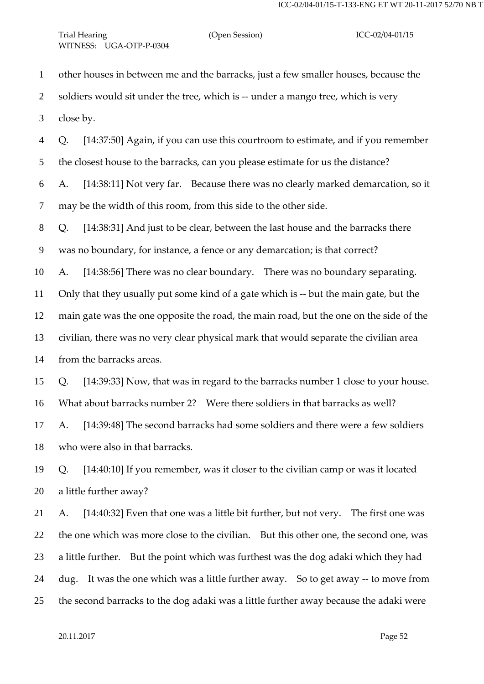other houses in between me and the barracks, just a few smaller houses, because the 2 soldiers would sit under the tree, which is -- under a mango tree, which is very close by.

 Q. [14:37:50] Again, if you can use this courtroom to estimate, and if you remember the closest house to the barracks, can you please estimate for us the distance? A. [14:38:11] Not very far. Because there was no clearly marked demarcation, so it may be the width of this room, from this side to the other side.

Q. [14:38:31] And just to be clear, between the last house and the barracks there

was no boundary, for instance, a fence or any demarcation; is that correct?

A. [14:38:56] There was no clear boundary. There was no boundary separating.

Only that they usually put some kind of a gate which is -- but the main gate, but the

main gate was the one opposite the road, the main road, but the one on the side of the

civilian, there was no very clear physical mark that would separate the civilian area

from the barracks areas.

Q. [14:39:33] Now, that was in regard to the barracks number 1 close to your house.

What about barracks number 2? Were there soldiers in that barracks as well?

 A. [14:39:48] The second barracks had some soldiers and there were a few soldiers who were also in that barracks.

 Q. [14:40:10] If you remember, was it closer to the civilian camp or was it located a little further away?

 A. [14:40:32] Even that one was a little bit further, but not very. The first one was the one which was more close to the civilian. But this other one, the second one, was a little further. But the point which was furthest was the dog adaki which they had dug. It was the one which was a little further away. So to get away -- to move from the second barracks to the dog adaki was a little further away because the adaki were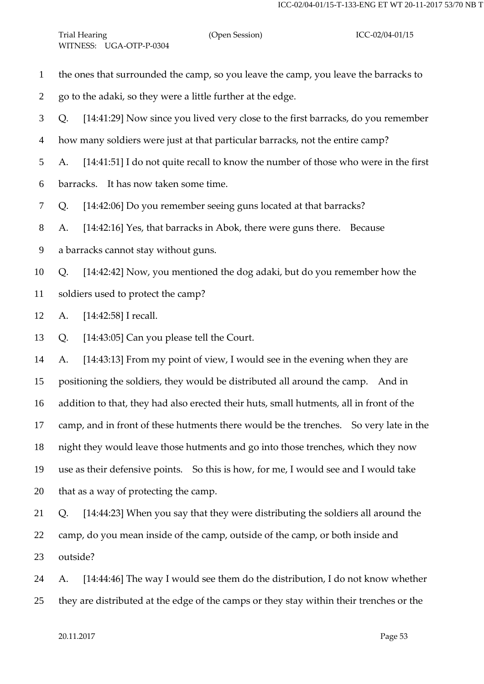- the ones that surrounded the camp, so you leave the camp, you leave the barracks to
- go to the adaki, so they were a little further at the edge.
- Q. [14:41:29] Now since you lived very close to the first barracks, do you remember
- how many soldiers were just at that particular barracks, not the entire camp?
- A. [14:41:51] I do not quite recall to know the number of those who were in the first
- barracks. It has now taken some time.
- Q. [14:42:06] Do you remember seeing guns located at that barracks?
- A. [14:42:16] Yes, that barracks in Abok, there were guns there. Because
- a barracks cannot stay without guns.
- Q. [14:42:42] Now, you mentioned the dog adaki, but do you remember how the
- soldiers used to protect the camp?
- A. [14:42:58] I recall.
- Q. [14:43:05] Can you please tell the Court.

 A. [14:43:13] From my point of view, I would see in the evening when they are positioning the soldiers, they would be distributed all around the camp. And in addition to that, they had also erected their huts, small hutments, all in front of the camp, and in front of these hutments there would be the trenches. So very late in the night they would leave those hutments and go into those trenches, which they now use as their defensive points. So this is how, for me, I would see and I would take that as a way of protecting the camp.

- Q. [14:44:23] When you say that they were distributing the soldiers all around the camp, do you mean inside of the camp, outside of the camp, or both inside and outside?
- A. [14:44:46] The way I would see them do the distribution, I do not know whether they are distributed at the edge of the camps or they stay within their trenches or the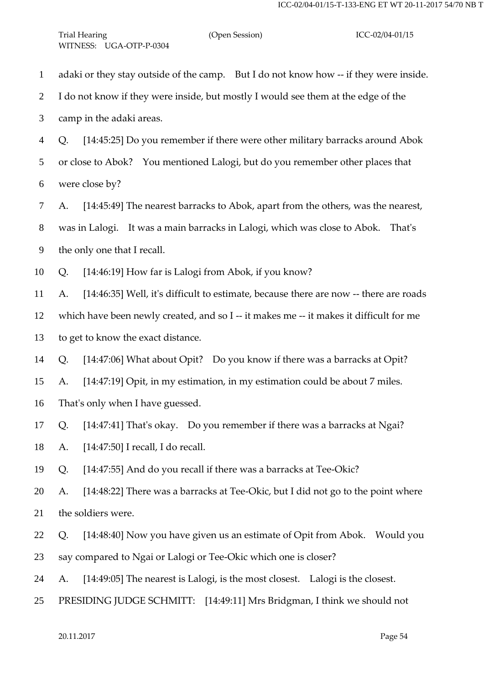| $\mathbf{1}$   | adaki or they stay outside of the camp. But I do not know how -- if they were inside.       |
|----------------|---------------------------------------------------------------------------------------------|
| $\overline{2}$ | I do not know if they were inside, but mostly I would see them at the edge of the           |
| 3              | camp in the adaki areas.                                                                    |
| $\overline{4}$ | [14:45:25] Do you remember if there were other military barracks around Abok<br>Q.          |
| 5              | or close to Abok? You mentioned Lalogi, but do you remember other places that               |
| 6              | were close by?                                                                              |
| 7              | [14:45:49] The nearest barracks to Abok, apart from the others, was the nearest,<br>A.      |
| 8              | was in Lalogi. It was a main barracks in Lalogi, which was close to Abok. That's            |
| 9              | the only one that I recall.                                                                 |
| 10             | [14:46:19] How far is Lalogi from Abok, if you know?<br>Q.                                  |
| 11             | [14:46:35] Well, it's difficult to estimate, because there are now -- there are roads<br>A. |
| 12             | which have been newly created, and so I -- it makes me -- it makes it difficult for me      |
| 13             | to get to know the exact distance.                                                          |
| 14             | [14:47:06] What about Opit? Do you know if there was a barracks at Opit?<br>Q.              |
| 15             | [14:47:19] Opit, in my estimation, in my estimation could be about 7 miles.<br>A.           |
| 16             | That's only when I have guessed.                                                            |
| 17             | Q. [14:47:41] That's okay. Do you remember if there was a barracks at Ngai?                 |
| 18             | $[14:47:50]$ I recall, I do recall.<br>A.                                                   |
| 19             | [14:47:55] And do you recall if there was a barracks at Tee-Okic?<br>Q.                     |
| 20             | [14:48:22] There was a barracks at Tee-Okic, but I did not go to the point where<br>A.      |
| 21             | the soldiers were.                                                                          |
| 22             | [14:48:40] Now you have given us an estimate of Opit from Abok.  Would you<br>Q.            |
| 23             | say compared to Ngai or Lalogi or Tee-Okic which one is closer?                             |
| 24             | [14:49:05] The nearest is Lalogi, is the most closest. Lalogi is the closest.<br>A.         |
| 25             | PRESIDING JUDGE SCHMITT: [14:49:11] Mrs Bridgman, I think we should not                     |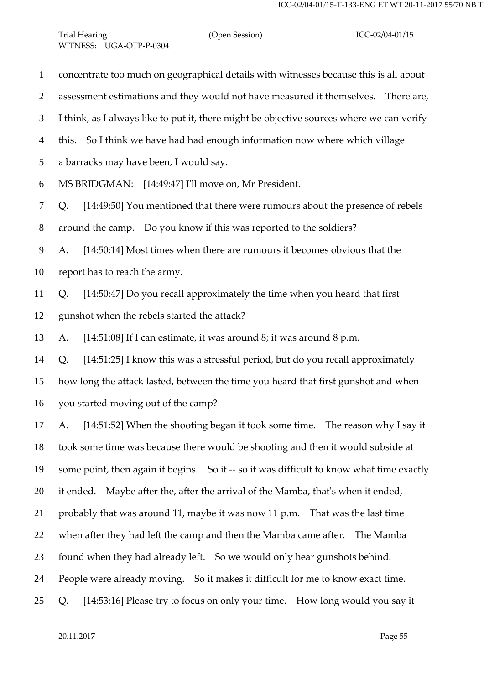concentrate too much on geographical details with witnesses because this is all about assessment estimations and they would not have measured it themselves. There are, I think, as I always like to put it, there might be objective sources where we can verify this. So I think we have had had enough information now where which village a barracks may have been, I would say. MS BRIDGMAN: [14:49:47] I'll move on, Mr President. Q. [14:49:50] You mentioned that there were rumours about the presence of rebels around the camp. Do you know if this was reported to the soldiers? A. [14:50:14] Most times when there are rumours it becomes obvious that the report has to reach the army. Q. [14:50:47] Do you recall approximately the time when you heard that first gunshot when the rebels started the attack? A. [14:51:08] If I can estimate, it was around 8; it was around 8 p.m. Q. [14:51:25] I know this was a stressful period, but do you recall approximately how long the attack lasted, between the time you heard that first gunshot and when you started moving out of the camp? A. [14:51:52] When the shooting began it took some time. The reason why I say it took some time was because there would be shooting and then it would subside at some point, then again it begins. So it -- so it was difficult to know what time exactly it ended. Maybe after the, after the arrival of the Mamba, that's when it ended, probably that was around 11, maybe it was now 11 p.m. That was the last time when after they had left the camp and then the Mamba came after. The Mamba found when they had already left. So we would only hear gunshots behind. People were already moving. So it makes it difficult for me to know exact time. Q. [14:53:16] Please try to focus on only your time. How long would you say it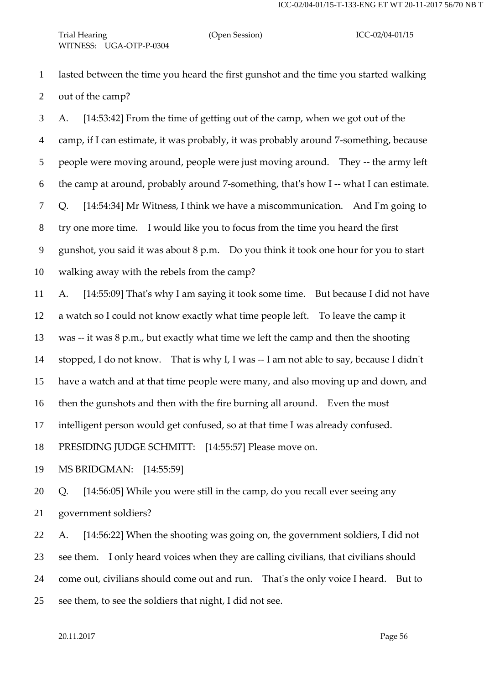lasted between the time you heard the first gunshot and the time you started walking out of the camp?

 A. [14:53:42] From the time of getting out of the camp, when we got out of the camp, if I can estimate, it was probably, it was probably around 7-something, because people were moving around, people were just moving around. They -- the army left the camp at around, probably around 7-something, that's how I -- what I can estimate. Q. [14:54:34] Mr Witness, I think we have a miscommunication. And I'm going to try one more time. I would like you to focus from the time you heard the first gunshot, you said it was about 8 p.m. Do you think it took one hour for you to start walking away with the rebels from the camp?

 A. [14:55:09] That's why I am saying it took some time. But because I did not have a watch so I could not know exactly what time people left. To leave the camp it was -- it was 8 p.m., but exactly what time we left the camp and then the shooting stopped, I do not know. That is why I, I was -- I am not able to say, because I didn't have a watch and at that time people were many, and also moving up and down, and then the gunshots and then with the fire burning all around. Even the most intelligent person would get confused, so at that time I was already confused. PRESIDING JUDGE SCHMITT: [14:55:57] Please move on.

MS BRIDGMAN: [14:55:59]

 Q. [14:56:05] While you were still in the camp, do you recall ever seeing any government soldiers?

 A. [14:56:22] When the shooting was going on, the government soldiers, I did not see them. I only heard voices when they are calling civilians, that civilians should come out, civilians should come out and run. That's the only voice I heard. But to see them, to see the soldiers that night, I did not see.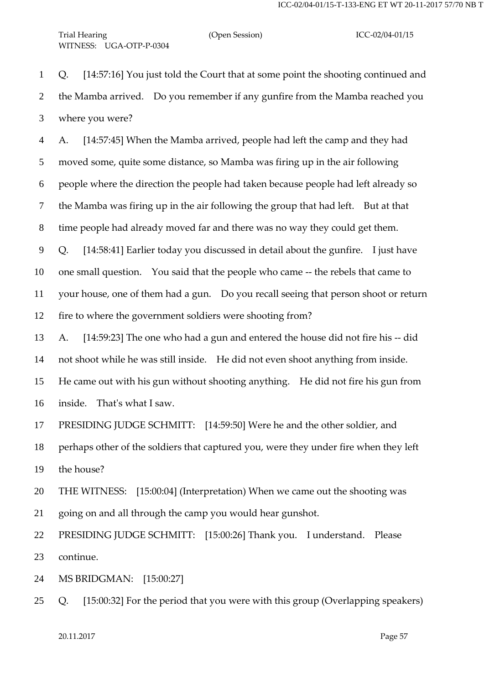Q. [14:57:16] You just told the Court that at some point the shooting continued and the Mamba arrived. Do you remember if any gunfire from the Mamba reached you where you were?

 A. [14:57:45] When the Mamba arrived, people had left the camp and they had moved some, quite some distance, so Mamba was firing up in the air following people where the direction the people had taken because people had left already so the Mamba was firing up in the air following the group that had left. But at that time people had already moved far and there was no way they could get them. Q. [14:58:41] Earlier today you discussed in detail about the gunfire. I just have one small question. You said that the people who came -- the rebels that came to

 your house, one of them had a gun. Do you recall seeing that person shoot or return fire to where the government soldiers were shooting from?

 A. [14:59:23] The one who had a gun and entered the house did not fire his -- did not shoot while he was still inside. He did not even shoot anything from inside. He came out with his gun without shooting anything. He did not fire his gun from inside. That's what I saw.

PRESIDING JUDGE SCHMITT: [14:59:50] Were he and the other soldier, and

 perhaps other of the soldiers that captured you, were they under fire when they left the house?

 THE WITNESS: [15:00:04] (Interpretation) When we came out the shooting was going on and all through the camp you would hear gunshot.

 PRESIDING JUDGE SCHMITT: [15:00:26] Thank you. I understand. Please continue.

MS BRIDGMAN: [15:00:27]

Q. [15:00:32] For the period that you were with this group (Overlapping speakers)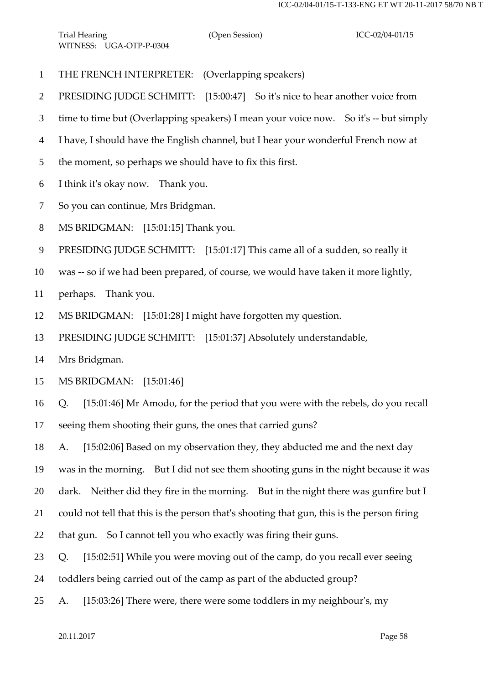- THE FRENCH INTERPRETER: (Overlapping speakers)
- PRESIDING JUDGE SCHMITT: [15:00:47] So it's nice to hear another voice from
- time to time but (Overlapping speakers) I mean your voice now. So it's -- but simply
- I have, I should have the English channel, but I hear your wonderful French now at
- the moment, so perhaps we should have to fix this first.
- I think it's okay now. Thank you.
- So you can continue, Mrs Bridgman.
- MS BRIDGMAN: [15:01:15] Thank you.
- PRESIDING JUDGE SCHMITT: [15:01:17] This came all of a sudden, so really it
- was -- so if we had been prepared, of course, we would have taken it more lightly,
- perhaps. Thank you.
- MS BRIDGMAN: [15:01:28] I might have forgotten my question.
- PRESIDING JUDGE SCHMITT: [15:01:37] Absolutely understandable,
- Mrs Bridgman.
- MS BRIDGMAN: [15:01:46]
- Q. [15:01:46] Mr Amodo, for the period that you were with the rebels, do you recall
- seeing them shooting their guns, the ones that carried guns?
- A. [15:02:06] Based on my observation they, they abducted me and the next day
- was in the morning. But I did not see them shooting guns in the night because it was
- dark. Neither did they fire in the morning. But in the night there was gunfire but I
- could not tell that this is the person that's shooting that gun, this is the person firing
- that gun. So I cannot tell you who exactly was firing their guns.
- Q. [15:02:51] While you were moving out of the camp, do you recall ever seeing
- toddlers being carried out of the camp as part of the abducted group?
- A. [15:03:26] There were, there were some toddlers in my neighbour's, my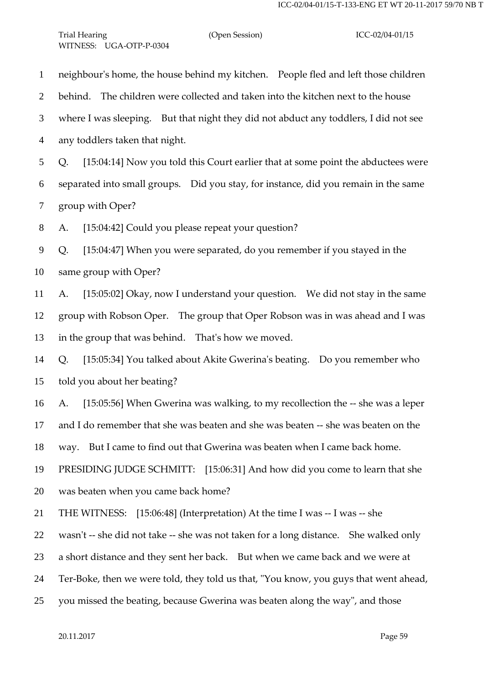neighbour's home, the house behind my kitchen. People fled and left those children behind. The children were collected and taken into the kitchen next to the house where I was sleeping. But that night they did not abduct any toddlers, I did not see any toddlers taken that night. Q. [15:04:14] Now you told this Court earlier that at some point the abductees were separated into small groups. Did you stay, for instance, did you remain in the same group with Oper? A. [15:04:42] Could you please repeat your question? Q. [15:04:47] When you were separated, do you remember if you stayed in the same group with Oper? A. [15:05:02] Okay, now I understand your question. We did not stay in the same group with Robson Oper. The group that Oper Robson was in was ahead and I was in the group that was behind. That's how we moved. Q. [15:05:34] You talked about Akite Gwerina's beating. Do you remember who told you about her beating? A. [15:05:56] When Gwerina was walking, to my recollection the -- she was a leper and I do remember that she was beaten and she was beaten -- she was beaten on the way. But I came to find out that Gwerina was beaten when I came back home. PRESIDING JUDGE SCHMITT: [15:06:31] And how did you come to learn that she was beaten when you came back home? THE WITNESS: [15:06:48] (Interpretation) At the time I was -- I was -- she wasn't -- she did not take -- she was not taken for a long distance. She walked only a short distance and they sent her back. But when we came back and we were at Ter-Boke, then we were told, they told us that, "You know, you guys that went ahead, you missed the beating, because Gwerina was beaten along the way", and those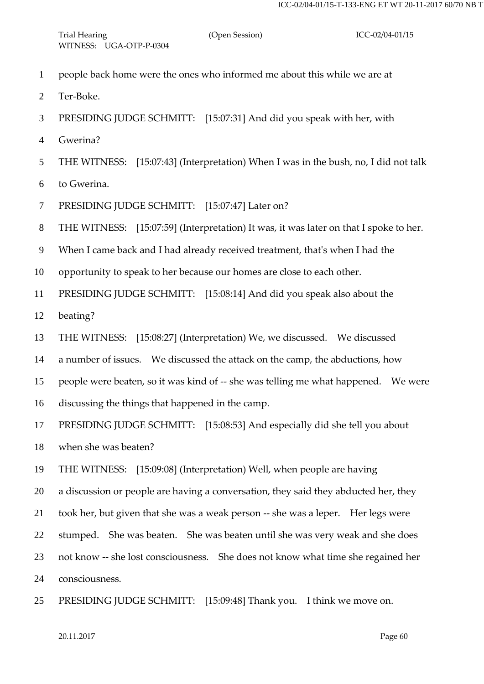- people back home were the ones who informed me about this while we are at
- Ter-Boke.
- PRESIDING JUDGE SCHMITT: [15:07:31] And did you speak with her, with
- Gwerina?
- THE WITNESS: [15:07:43] (Interpretation) When I was in the bush, no, I did not talk
- to Gwerina.
- 7 PRESIDING JUDGE SCHMITT: [15:07:47] Later on?
- THE WITNESS: [15:07:59] (Interpretation) It was, it was later on that I spoke to her.
- When I came back and I had already received treatment, that's when I had the
- opportunity to speak to her because our homes are close to each other.
- PRESIDING JUDGE SCHMITT: [15:08:14] And did you speak also about the
- beating?
- THE WITNESS: [15:08:27] (Interpretation) We, we discussed. We discussed
- a number of issues. We discussed the attack on the camp, the abductions, how
- people were beaten, so it was kind of -- she was telling me what happened. We were
- discussing the things that happened in the camp.
- PRESIDING JUDGE SCHMITT: [15:08:53] And especially did she tell you about
- when she was beaten?
- THE WITNESS: [15:09:08] (Interpretation) Well, when people are having
- a discussion or people are having a conversation, they said they abducted her, they
- took her, but given that she was a weak person -- she was a leper. Her legs were
- stumped. She was beaten. She was beaten until she was very weak and she does
- not know -- she lost consciousness. She does not know what time she regained her
- consciousness.
- PRESIDING JUDGE SCHMITT: [15:09:48] Thank you. I think we move on.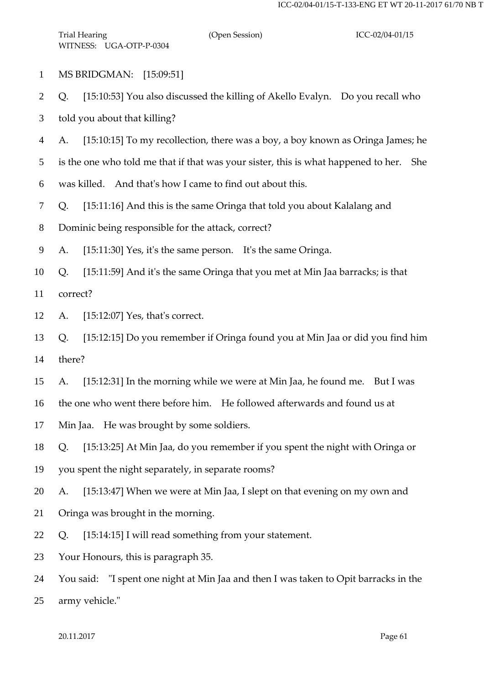- MS BRIDGMAN: [15:09:51]
- Q. [15:10:53] You also discussed the killing of Akello Evalyn. Do you recall who

told you about that killing?

- A. [15:10:15] To my recollection, there was a boy, a boy known as Oringa James; he
- is the one who told me that if that was your sister, this is what happened to her. She
- was killed. And that's how I came to find out about this.
- Q. [15:11:16] And this is the same Oringa that told you about Kalalang and
- Dominic being responsible for the attack, correct?
- A. [15:11:30] Yes, it's the same person. It's the same Oringa.
- Q. [15:11:59] And it's the same Oringa that you met at Min Jaa barracks; is that
- correct?
- A. [15:12:07] Yes, that's correct.
- Q. [15:12:15] Do you remember if Oringa found you at Min Jaa or did you find him there?
- A. [15:12:31] In the morning while we were at Min Jaa, he found me. But I was
- the one who went there before him. He followed afterwards and found us at
- Min Jaa. He was brought by some soldiers.
- Q. [15:13:25] At Min Jaa, do you remember if you spent the night with Oringa or
- you spent the night separately, in separate rooms?
- A. [15:13:47] When we were at Min Jaa, I slept on that evening on my own and
- Oringa was brought in the morning.
- Q. [15:14:15] I will read something from your statement.
- Your Honours, this is paragraph 35.
- You said: "I spent one night at Min Jaa and then I was taken to Opit barracks in the
- army vehicle."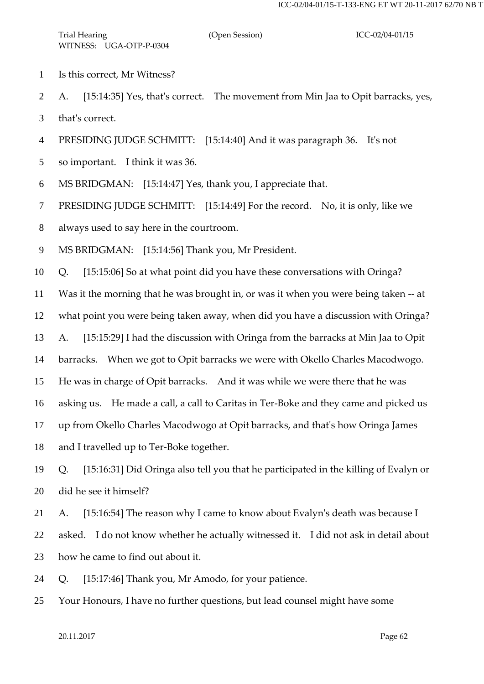- Is this correct, Mr Witness?
- A. [15:14:35] Yes, that's correct. The movement from Min Jaa to Opit barracks, yes,

that's correct.

PRESIDING JUDGE SCHMITT: [15:14:40] And it was paragraph 36. It's not

so important. I think it was 36.

MS BRIDGMAN: [15:14:47] Yes, thank you, I appreciate that.

PRESIDING JUDGE SCHMITT: [15:14:49] For the record. No, it is only, like we

always used to say here in the courtroom.

MS BRIDGMAN: [15:14:56] Thank you, Mr President.

Q. [15:15:06] So at what point did you have these conversations with Oringa?

Was it the morning that he was brought in, or was it when you were being taken -- at

what point you were being taken away, when did you have a discussion with Oringa?

A. [15:15:29] I had the discussion with Oringa from the barracks at Min Jaa to Opit

barracks. When we got to Opit barracks we were with Okello Charles Macodwogo.

He was in charge of Opit barracks. And it was while we were there that he was

asking us. He made a call, a call to Caritas in Ter-Boke and they came and picked us

up from Okello Charles Macodwogo at Opit barracks, and that's how Oringa James

and I travelled up to Ter-Boke together.

 Q. [15:16:31] Did Oringa also tell you that he participated in the killing of Evalyn or did he see it himself?

A. [15:16:54] The reason why I came to know about Evalyn's death was because I

 asked. I do not know whether he actually witnessed it. I did not ask in detail about how he came to find out about it.

Q. [15:17:46] Thank you, Mr Amodo, for your patience.

Your Honours, I have no further questions, but lead counsel might have some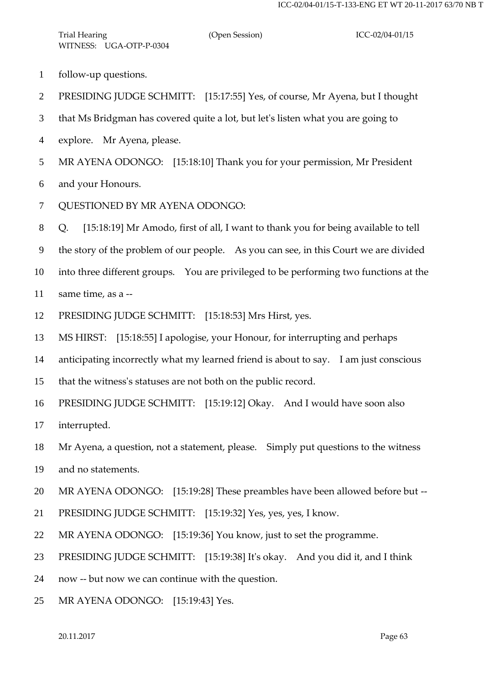- follow-up questions.
- PRESIDING JUDGE SCHMITT: [15:17:55] Yes, of course, Mr Ayena, but I thought
- that Ms Bridgman has covered quite a lot, but let's listen what you are going to
- explore. Mr Ayena, please.
- MR AYENA ODONGO: [15:18:10] Thank you for your permission, Mr President
- and your Honours.
- QUESTIONED BY MR AYENA ODONGO:
- Q. [15:18:19] Mr Amodo, first of all, I want to thank you for being available to tell
- the story of the problem of our people. As you can see, in this Court we are divided
- into three different groups. You are privileged to be performing two functions at the
- same time, as a --
- PRESIDING JUDGE SCHMITT: [15:18:53] Mrs Hirst, yes.
- MS HIRST: [15:18:55] I apologise, your Honour, for interrupting and perhaps
- anticipating incorrectly what my learned friend is about to say. I am just conscious
- that the witness's statuses are not both on the public record.
- PRESIDING JUDGE SCHMITT: [15:19:12] Okay. And I would have soon also
- interrupted.
- Mr Ayena, a question, not a statement, please. Simply put questions to the witness
- and no statements.
- MR AYENA ODONGO: [15:19:28] These preambles have been allowed before but --
- PRESIDING JUDGE SCHMITT: [15:19:32] Yes, yes, yes, I know.
- MR AYENA ODONGO: [15:19:36] You know, just to set the programme.
- PRESIDING JUDGE SCHMITT: [15:19:38] It's okay. And you did it, and I think
- now -- but now we can continue with the question.
- MR AYENA ODONGO: [15:19:43] Yes.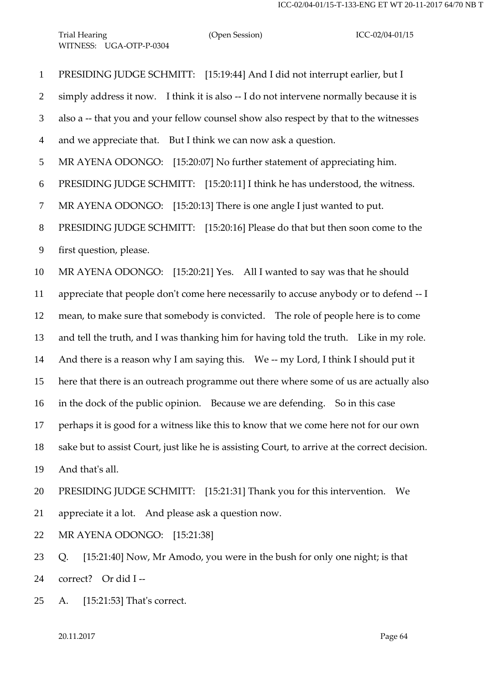PRESIDING JUDGE SCHMITT: [15:19:44] And I did not interrupt earlier, but I 2 simply address it now. I think it is also -- I do not intervene normally because it is also a -- that you and your fellow counsel show also respect by that to the witnesses and we appreciate that. But I think we can now ask a question. MR AYENA ODONGO: [15:20:07] No further statement of appreciating him. PRESIDING JUDGE SCHMITT: [15:20:11] I think he has understood, the witness. MR AYENA ODONGO: [15:20:13] There is one angle I just wanted to put. PRESIDING JUDGE SCHMITT: [15:20:16] Please do that but then soon come to the first question, please. MR AYENA ODONGO: [15:20:21] Yes. All I wanted to say was that he should appreciate that people don't come here necessarily to accuse anybody or to defend -- I mean, to make sure that somebody is convicted. The role of people here is to come and tell the truth, and I was thanking him for having told the truth. Like in my role. 14 And there is a reason why I am saying this. We -- my Lord, I think I should put it here that there is an outreach programme out there where some of us are actually also in the dock of the public opinion. Because we are defending. So in this case perhaps it is good for a witness like this to know that we come here not for our own sake but to assist Court, just like he is assisting Court, to arrive at the correct decision. And that's all. PRESIDING JUDGE SCHMITT: [15:21:31] Thank you for this intervention. We appreciate it a lot. And please ask a question now. MR AYENA ODONGO: [15:21:38] Q. [15:21:40] Now, Mr Amodo, you were in the bush for only one night; is that correct? Or did I -- A. [15:21:53] That's correct.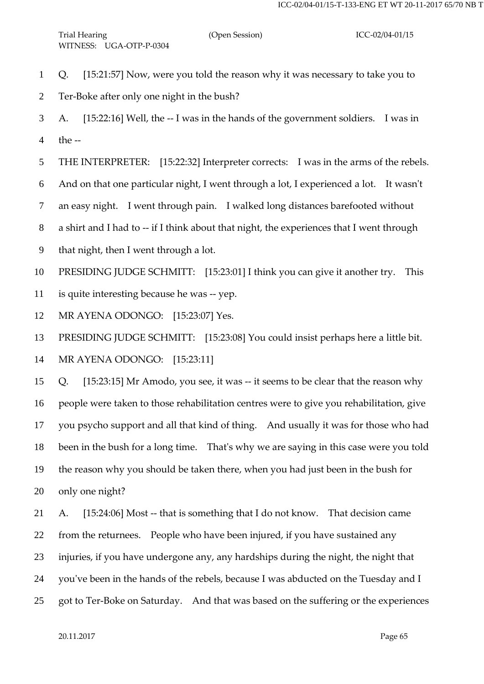- Q. [15:21:57] Now, were you told the reason why it was necessary to take you to
- Ter-Boke after only one night in the bush?
- A. [15:22:16] Well, the -- I was in the hands of the government soldiers. I was in the --
- THE INTERPRETER: [15:22:32] Interpreter corrects: I was in the arms of the rebels.
- And on that one particular night, I went through a lot, I experienced a lot. It wasn't
- an easy night. I went through pain. I walked long distances barefooted without
- a shirt and I had to -- if I think about that night, the experiences that I went through
- that night, then I went through a lot.
- PRESIDING JUDGE SCHMITT: [15:23:01] I think you can give it another try. This
- is quite interesting because he was -- yep.
- MR AYENA ODONGO: [15:23:07] Yes.
- PRESIDING JUDGE SCHMITT: [15:23:08] You could insist perhaps here a little bit.

MR AYENA ODONGO: [15:23:11]

 Q. [15:23:15] Mr Amodo, you see, it was -- it seems to be clear that the reason why people were taken to those rehabilitation centres were to give you rehabilitation, give you psycho support and all that kind of thing. And usually it was for those who had been in the bush for a long time. That's why we are saying in this case were you told the reason why you should be taken there, when you had just been in the bush for only one night?

 A. [15:24:06] Most -- that is something that I do not know. That decision came from the returnees. People who have been injured, if you have sustained any injuries, if you have undergone any, any hardships during the night, the night that you've been in the hands of the rebels, because I was abducted on the Tuesday and I got to Ter-Boke on Saturday. And that was based on the suffering or the experiences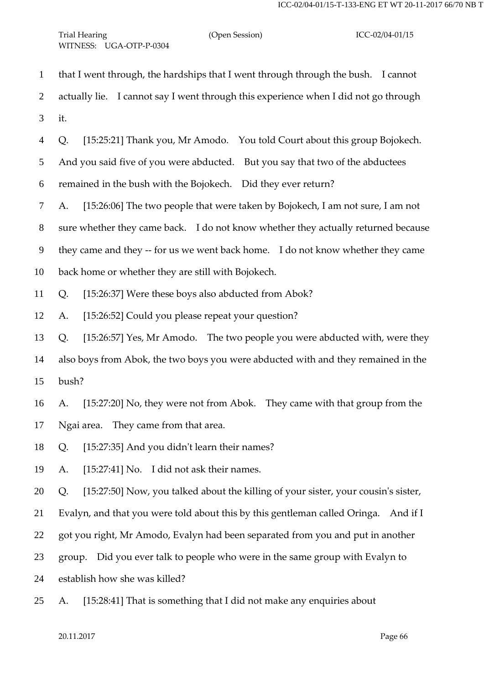that I went through, the hardships that I went through through the bush. I cannot actually lie. I cannot say I went through this experience when I did not go through it. Q. [15:25:21] Thank you, Mr Amodo. You told Court about this group Bojokech. And you said five of you were abducted. But you say that two of the abductees remained in the bush with the Bojokech. Did they ever return? A. [15:26:06] The two people that were taken by Bojokech, I am not sure, I am not sure whether they came back. I do not know whether they actually returned because they came and they -- for us we went back home. I do not know whether they came back home or whether they are still with Bojokech. Q. [15:26:37] Were these boys also abducted from Abok? A. [15:26:52] Could you please repeat your question? Q. [15:26:57] Yes, Mr Amodo. The two people you were abducted with, were they also boys from Abok, the two boys you were abducted with and they remained in the bush? A. [15:27:20] No, they were not from Abok. They came with that group from the Ngai area. They came from that area. Q. [15:27:35] And you didn't learn their names? A. [15:27:41] No. I did not ask their names. Q. [15:27:50] Now, you talked about the killing of your sister, your cousin's sister, Evalyn, and that you were told about this by this gentleman called Oringa. And if I got you right, Mr Amodo, Evalyn had been separated from you and put in another group. Did you ever talk to people who were in the same group with Evalyn to establish how she was killed? A. [15:28:41] That is something that I did not make any enquiries about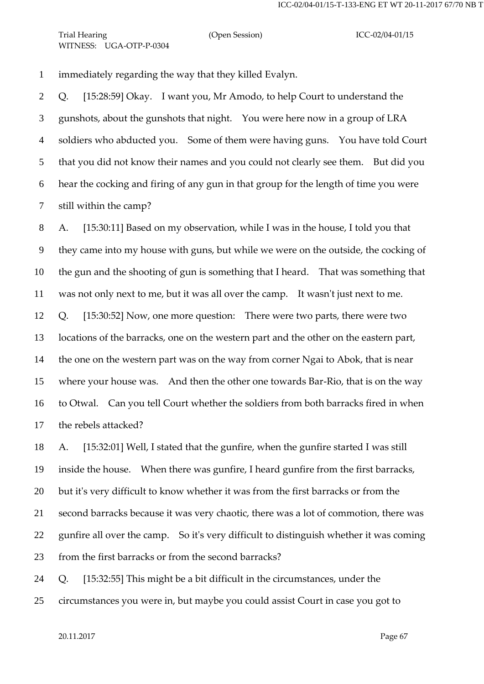immediately regarding the way that they killed Evalyn.

 Q. [15:28:59] Okay. I want you, Mr Amodo, to help Court to understand the gunshots, about the gunshots that night. You were here now in a group of LRA soldiers who abducted you. Some of them were having guns. You have told Court that you did not know their names and you could not clearly see them. But did you hear the cocking and firing of any gun in that group for the length of time you were still within the camp?

 A. [15:30:11] Based on my observation, while I was in the house, I told you that they came into my house with guns, but while we were on the outside, the cocking of the gun and the shooting of gun is something that I heard. That was something that was not only next to me, but it was all over the camp. It wasn't just next to me. Q. [15:30:52] Now, one more question: There were two parts, there were two locations of the barracks, one on the western part and the other on the eastern part, the one on the western part was on the way from corner Ngai to Abok, that is near where your house was. And then the other one towards Bar-Rio, that is on the way to Otwal. Can you tell Court whether the soldiers from both barracks fired in when the rebels attacked?

 A. [15:32:01] Well, I stated that the gunfire, when the gunfire started I was still inside the house. When there was gunfire, I heard gunfire from the first barracks, but it's very difficult to know whether it was from the first barracks or from the second barracks because it was very chaotic, there was a lot of commotion, there was gunfire all over the camp. So it's very difficult to distinguish whether it was coming from the first barracks or from the second barracks?

Q. [15:32:55] This might be a bit difficult in the circumstances, under the

circumstances you were in, but maybe you could assist Court in case you got to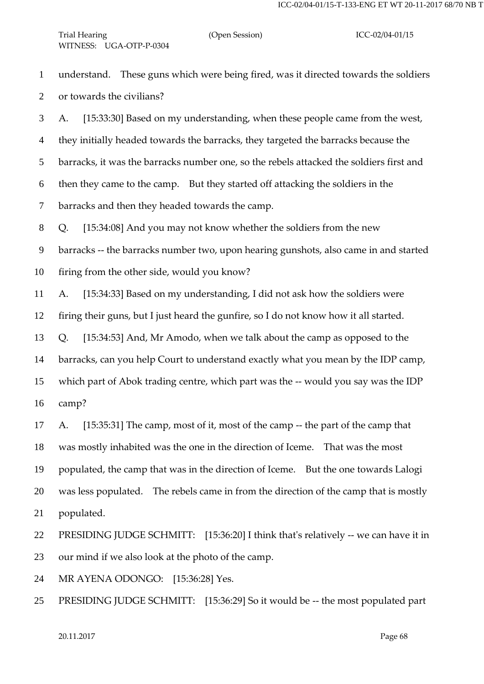understand. These guns which were being fired, was it directed towards the soldiers or towards the civilians?

 A. [15:33:30] Based on my understanding, when these people came from the west, they initially headed towards the barracks, they targeted the barracks because the barracks, it was the barracks number one, so the rebels attacked the soldiers first and then they came to the camp. But they started off attacking the soldiers in the barracks and then they headed towards the camp.

Q. [15:34:08] And you may not know whether the soldiers from the new

barracks -- the barracks number two, upon hearing gunshots, also came in and started

firing from the other side, would you know?

A. [15:34:33] Based on my understanding, I did not ask how the soldiers were

firing their guns, but I just heard the gunfire, so I do not know how it all started.

Q. [15:34:53] And, Mr Amodo, when we talk about the camp as opposed to the

barracks, can you help Court to understand exactly what you mean by the IDP camp,

which part of Abok trading centre, which part was the -- would you say was the IDP

camp?

 A. [15:35:31] The camp, most of it, most of the camp -- the part of the camp that was mostly inhabited was the one in the direction of Iceme. That was the most populated, the camp that was in the direction of Iceme. But the one towards Lalogi was less populated. The rebels came in from the direction of the camp that is mostly populated.

 PRESIDING JUDGE SCHMITT: [15:36:20] I think that's relatively -- we can have it in our mind if we also look at the photo of the camp.

MR AYENA ODONGO: [15:36:28] Yes.

PRESIDING JUDGE SCHMITT: [15:36:29] So it would be -- the most populated part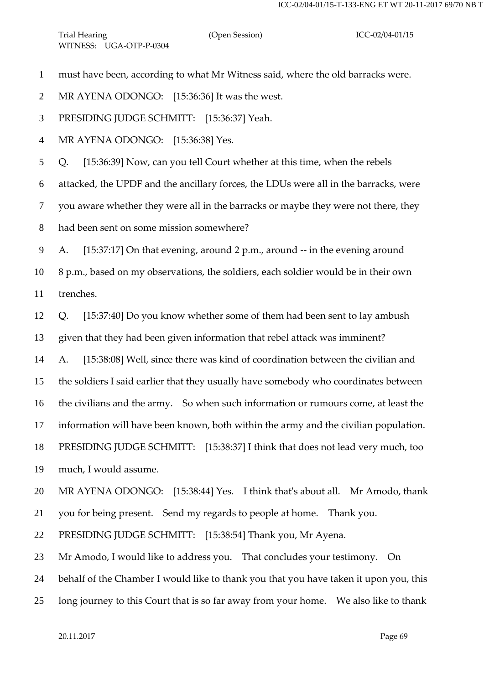must have been, according to what Mr Witness said, where the old barracks were.

2 MR AYENA ODONGO: [15:36:36] It was the west.

PRESIDING JUDGE SCHMITT: [15:36:37] Yeah.

MR AYENA ODONGO: [15:36:38] Yes.

Q. [15:36:39] Now, can you tell Court whether at this time, when the rebels

attacked, the UPDF and the ancillary forces, the LDUs were all in the barracks, were

you aware whether they were all in the barracks or maybe they were not there, they

had been sent on some mission somewhere?

A. [15:37:17] On that evening, around 2 p.m., around -- in the evening around

 8 p.m., based on my observations, the soldiers, each soldier would be in their own trenches.

Q. [15:37:40] Do you know whether some of them had been sent to lay ambush

given that they had been given information that rebel attack was imminent?

A. [15:38:08] Well, since there was kind of coordination between the civilian and

the soldiers I said earlier that they usually have somebody who coordinates between

the civilians and the army. So when such information or rumours come, at least the

information will have been known, both within the army and the civilian population.

PRESIDING JUDGE SCHMITT: [15:38:37] I think that does not lead very much, too

much, I would assume.

MR AYENA ODONGO: [15:38:44] Yes. I think that's about all. Mr Amodo, thank

you for being present. Send my regards to people at home. Thank you.

PRESIDING JUDGE SCHMITT: [15:38:54] Thank you, Mr Ayena.

Mr Amodo, I would like to address you. That concludes your testimony. On

behalf of the Chamber I would like to thank you that you have taken it upon you, this

long journey to this Court that is so far away from your home. We also like to thank